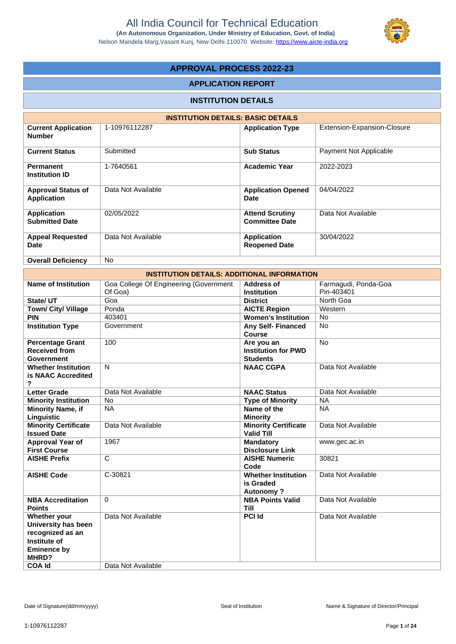

# **APPROVAL PROCESS 2022-23**

## **APPLICATION REPORT**

# **INSTITUTION DETAILS**

|                                                 | <b>INSTITUTION DETAILS: BASIC DETAILS</b> |                                                 |                             |
|-------------------------------------------------|-------------------------------------------|-------------------------------------------------|-----------------------------|
| <b>Current Application</b><br><b>Number</b>     | 1-10976112287                             | <b>Application Type</b>                         | Extension-Expansion-Closure |
| <b>Current Status</b>                           | Submitted                                 | <b>Sub Status</b>                               | Payment Not Applicable      |
| <b>Permanent</b><br><b>Institution ID</b>       | 1-7640561                                 | <b>Academic Year</b>                            | 2022-2023                   |
| <b>Approval Status of</b><br><b>Application</b> | Data Not Available                        | <b>Application Opened</b><br><b>Date</b>        | 04/04/2022                  |
| <b>Application</b><br><b>Submitted Date</b>     | 02/05/2022                                | <b>Attend Scrutiny</b><br><b>Committee Date</b> | Data Not Available          |
| <b>Appeal Requested</b><br><b>Date</b>          | Data Not Available                        | <b>Application</b><br><b>Reopened Date</b>      | 30/04/2022                  |
| <b>Overall Deficiency</b>                       | <b>No</b>                                 |                                                 |                             |

|                             | <b>INSTITUTION DETAILS: ADDITIONAL INFORMATION</b> |                                     |                      |
|-----------------------------|----------------------------------------------------|-------------------------------------|----------------------|
| <b>Name of Institution</b>  | Goa College Of Engineering (Government             | Address of                          | Farmagudi, Ponda-Goa |
|                             | Of Goa)                                            | <b>Institution</b>                  | Pin-403401           |
| State/ UT                   | Goa                                                | <b>District</b>                     | North Goa            |
| Town/ City/ Village         | Ponda                                              | <b>AICTE Region</b>                 | Western              |
| <b>PIN</b>                  | 403401                                             | <b>Women's Institution</b>          | <b>No</b>            |
| <b>Institution Type</b>     | Government                                         | <b>Any Self- Financed</b><br>Course | <b>No</b>            |
| <b>Percentage Grant</b>     | 100                                                | Are you an                          | <b>No</b>            |
| <b>Received from</b>        |                                                    | <b>Institution for PWD</b>          |                      |
| Government                  |                                                    | <b>Students</b>                     |                      |
| <b>Whether Institution</b>  | $\mathsf{N}$                                       | <b>NAAC CGPA</b>                    | Data Not Available   |
| is NAAC Accredited<br>?     |                                                    |                                     |                      |
| <b>Letter Grade</b>         | Data Not Available                                 | <b>NAAC Status</b>                  | Data Not Available   |
| <b>Minority Institution</b> | <b>No</b>                                          | <b>Type of Minority</b>             | <b>NA</b>            |
| <b>Minority Name, if</b>    | <b>NA</b>                                          | Name of the                         | <b>NA</b>            |
| Linguistic                  |                                                    | <b>Minority</b>                     |                      |
| <b>Minority Certificate</b> | Data Not Available                                 | <b>Minority Certificate</b>         | Data Not Available   |
| <b>Issued Date</b>          |                                                    | <b>Valid Till</b>                   |                      |
| <b>Approval Year of</b>     | 1967                                               | <b>Mandatory</b>                    | www.gec.ac.in        |
| <b>First Course</b>         |                                                    | <b>Disclosure Link</b>              |                      |
| <b>AISHE Prefix</b>         | C                                                  | <b>AISHE Numeric</b>                | 30821                |
|                             |                                                    | Code                                |                      |
| <b>AISHE Code</b>           | C-30821                                            | <b>Whether Institution</b>          | Data Not Available   |
|                             |                                                    | is Graded                           |                      |
|                             |                                                    | <b>Autonomy?</b>                    |                      |
| <b>NBA Accreditation</b>    | $\Omega$                                           | <b>NBA Points Valid</b>             | Data Not Available   |
| <b>Points</b>               |                                                    | <b>Till</b>                         |                      |
| Whether your                | Data Not Available                                 | <b>PCI Id</b>                       | Data Not Available   |
| University has been         |                                                    |                                     |                      |
| recognized as an            |                                                    |                                     |                      |
| Institute of                |                                                    |                                     |                      |
| <b>Eminence by</b>          |                                                    |                                     |                      |
| MHRD?                       |                                                    |                                     |                      |
| <b>COA Id</b>               | Data Not Available                                 |                                     |                      |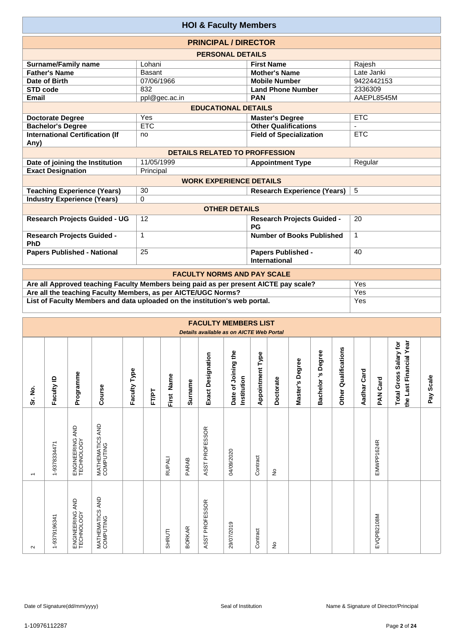|                                                | <b>HOI &amp; Faculty Members</b>      |                                                   |             |
|------------------------------------------------|---------------------------------------|---------------------------------------------------|-------------|
|                                                | <b>PRINCIPAL / DIRECTOR</b>           |                                                   |             |
|                                                | <b>PERSONAL DETAILS</b>               |                                                   |             |
| <b>Surname/Family name</b>                     | Lohani                                | <b>First Name</b>                                 | Rajesh      |
| <b>Father's Name</b>                           | <b>Basant</b>                         | <b>Mother's Name</b>                              | Late Janki  |
| Date of Birth                                  | 07/06/1966                            | <b>Mobile Number</b>                              | 9422442153  |
| <b>STD code</b>                                | 832                                   | <b>Land Phone Number</b>                          | 2336309     |
| <b>Email</b>                                   | ppl@gec.ac.in                         | <b>PAN</b>                                        | AAEPL8545M  |
|                                                | <b>EDUCATIONAL DETAILS</b>            |                                                   |             |
| <b>Doctorate Degree</b>                        | Yes                                   | <b>Master's Degree</b>                            | <b>ETC</b>  |
| <b>Bachelor's Degree</b>                       | <b>ETC</b>                            | <b>Other Qualifications</b>                       |             |
| <b>International Certification (If</b><br>Any) | no                                    | <b>Field of Specialization</b>                    | <b>ETC</b>  |
|                                                | <b>DETAILS RELATED TO PROFFESSION</b> |                                                   |             |
| Date of joining the Institution                | 11/05/1999                            | <b>Appointment Type</b>                           | Regular     |
| <b>Exact Designation</b>                       | Principal                             |                                                   |             |
|                                                | <b>WORK EXPERIENCE DETAILS</b>        |                                                   |             |
| <b>Teaching Experience (Years)</b>             | 30                                    | <b>Research Experience (Years)</b>                | 5           |
| <b>Industry Experience (Years)</b>             | $\Omega$                              |                                                   |             |
|                                                | <b>OTHER DETAILS</b>                  |                                                   |             |
| <b>Research Projects Guided - UG</b>           | 12                                    | <b>Research Projects Guided -</b><br><b>PG</b>    | 20          |
| <b>Research Projects Guided -</b><br>PhD       | $\mathbf 1$                           | Number of Books Published                         | $\mathbf 1$ |
| <b>Papers Published - National</b>             | 25                                    | <b>Papers Published -</b><br><b>International</b> | 40          |
|                                                | <b>EACHLITY NODMS AND BAY SCALE</b>   |                                                   |             |

| <b>FACULTY NORMS AND PAY SCALE</b>                                                   |     |
|--------------------------------------------------------------------------------------|-----|
| Are all Approved teaching Faculty Members being paid as per present AICTE pay scale? | Yes |
| Are all the teaching Faculty Members, as per AICTE/UGC Norms?                        | Yes |
| List of Faculty Members and data uploaded on the institution's web portal.           | Yes |

|                          |              |                                    |                              |              |       |               |               |                   | <b>FACULTY MEMBERS LIST</b><br>Details available as on AICTE Web Portal |                         |           |                    |                                  |                         |                |                    |                                                   |              |
|--------------------------|--------------|------------------------------------|------------------------------|--------------|-------|---------------|---------------|-------------------|-------------------------------------------------------------------------|-------------------------|-----------|--------------------|----------------------------------|-------------------------|----------------|--------------------|---------------------------------------------------|--------------|
| Sr. No.                  | Faculty ID   | Programme                          | Course                       | Faculty Type | FT/PT | Name<br>First | Surname       | Exact Designation | Date of Joining the<br>Institution                                      | <b>Appointment Type</b> | Doctorate | Degree<br>Master's | Degree<br>'n,<br><b>Bachelor</b> | Qualifications<br>Other | Card<br>Aadhar | Card<br><b>PAN</b> | the Last Financial Year<br>Total Gross Salary for | Scale<br>Pay |
| $\overline{\phantom{0}}$ | 1-9378334471 | AND<br>ENGINEERING A<br>TECHNOLOGY | MATHEMATICS AND<br>COMPUTING |              |       | <b>RUPALI</b> | <b>PARAB</b>  | ASST PROFESSOR    | 04/09/2020                                                              | Contract                | £         |                    |                                  |                         |                | EMWPP1624R         |                                                   |              |
| $\sim$                   | 1-9379196341 | AND<br>ENGINEERING /<br>TECHNOLOGY | MATHEMATICS AND<br>COMPUTING |              |       | SHRUTI        | <b>BORKAR</b> | ASST PROFESSOR    | 29/07/2019                                                              | Contract                | ş         |                    |                                  |                         |                | EVQPB2108M         |                                                   |              |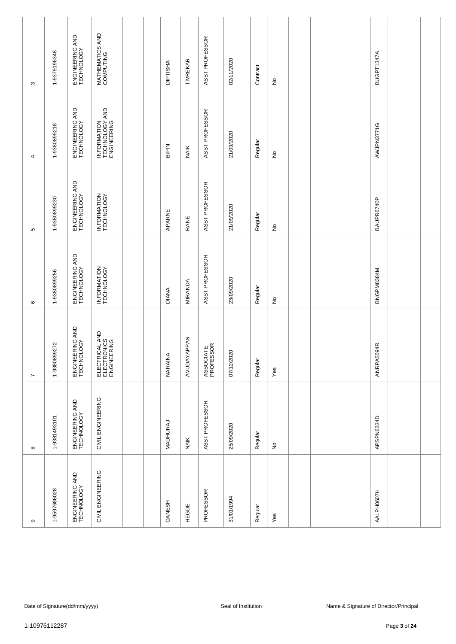| ၜ                             | $\infty$                      | $\overline{ }$                               | $\circ$                       | ъ                             | 4                                            | $\infty$                      |
|-------------------------------|-------------------------------|----------------------------------------------|-------------------------------|-------------------------------|----------------------------------------------|-------------------------------|
| 1-9597686028                  | 1-9381493101                  | 1-9380899272                                 | 1-9380899256                  | 1-9380899230                  | 1-9380899218                                 | 1-9379196348                  |
| ENGINEERING AND<br>TECHNOLOGY | ENGINEERING AND<br>TECHNOLOGY | ENGINEERING AND<br>TECHNOLOGY                | ENGINEERING AND<br>TECHNOLOGY | ENGINEERING AND<br>TECHNOLOGY | ENGINEERING AND<br>TECHNOLOGY                | ENGINEERING AND<br>TECHNOLOGY |
| CIVIL ENGINEERING             | CIVIL ENGINEERING             | ELECTRICAL AND<br>ELECTRONICS<br>ENGINEERING | INFORMATION<br>TECHNOLOGY     | INFORMATION<br>TECHNOLOGY     | INFORMATION<br>TECHNOLOGY AND<br>ENGINEERING | MATHEMATICS AND<br>COMPUTING  |
|                               |                               |                                              |                               |                               |                                              |                               |
|                               |                               |                                              |                               |                               |                                              |                               |
| GANESH                        | MADHURAJ                      | NARAINA                                      | <b>DIANA</b>                  | APARNE                        | BIPIN                                        | <b>DIPTISHA</b>               |
| HEGDE                         | NAIK                          | <b>APPAN</b><br>AVUDAY.                      | MIRANDA                       | RANE                          | <b>NAIK</b>                                  | <b>TIVREKAR</b>               |
| PROFESSOR                     | ASST PROFESSOR                | ASSOCIATE<br>PROFESSOR                       | ASST PROFESSOR                | ASST PROFESSOR                | ASST PROFESSOR                               | ASST PROFESSOR                |
| 31/01/1994                    | 25/09/2020                    | 07/12/2020                                   | 23/09/2020                    | 21/09/2020                    | 21/09/2020                                   | 02/11/2020                    |
| Regular                       | Regular                       | Regular                                      | Regular                       | Regular                       | Regular                                      | Contract                      |
| Yes                           | $\frac{\circ}{\sim}$          | $Y$ es                                       | ş                             | $\stackrel{\circ}{\simeq}$    | $\stackrel{\mathtt{o}}{z}$                   | $\hat{z}$                     |
|                               |                               |                                              |                               |                               |                                              |                               |
|                               |                               |                                              |                               |                               |                                              |                               |
|                               |                               |                                              |                               |                               |                                              |                               |
|                               |                               |                                              |                               |                               |                                              |                               |
| AALPH0607H                    | APSPN6334D                    | ANRPA5594R                                   | BNGPM8384M                    | BAUPR6740P                    | AWJPN3771G                                   | BUGPT1347A                    |
|                               |                               |                                              |                               |                               |                                              |                               |
|                               |                               |                                              |                               |                               |                                              |                               |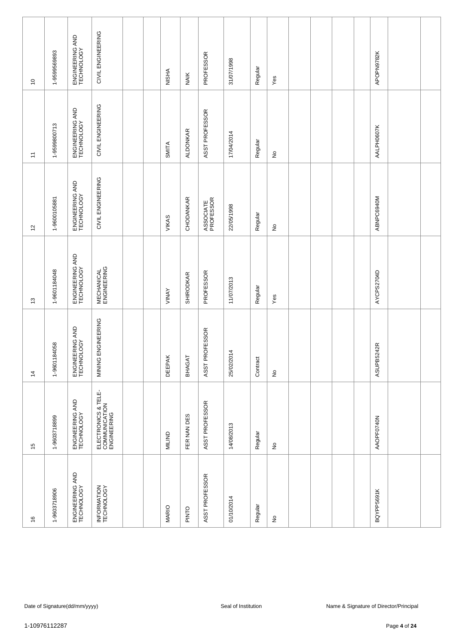| $\frac{6}{5}$                 | 15                                                  | $\dot{z}$                     | $\tilde{c}$                      | $\overline{c}$                | $\overline{a}$                | $\overline{\phantom{0}}$      |
|-------------------------------|-----------------------------------------------------|-------------------------------|----------------------------------|-------------------------------|-------------------------------|-------------------------------|
| 1-9603718906                  | 1-9603718899                                        | 1-9601184058                  | 1-9601184048                     | 1-9600105881                  | 1-9599800713                  | 1-9599569893                  |
| ENGINEERING AND<br>TECHNOLOGY | ENGINEERING AND<br>TECHNOLOGY                       | ENGINEERING AND<br>TECHNOLOGY | ENGINEERING AND<br>TECHNOLOGY    | ENGINEERING AND<br>TECHNOLOGY | ENGINEERING AND<br>TECHNOLOGY | ENGINEERING AND<br>TECHNOLOGY |
| INFORMATION<br>TECHNOLOGY     | ELECTRONICS & TELE-<br>COMMUNICATION<br>ENGINEERING | ENGINEERING<br>MINING         | <b>MECHANICAL</b><br>ENGINEERING | CIVIL ENGINEERING             | CIVIL ENGINEERING             | CIVIL ENGINEERING             |
|                               |                                                     |                               |                                  |                               |                               |                               |
|                               |                                                     |                               |                                  |                               |                               |                               |
| <b>MARIO</b>                  | <b>MILIND</b>                                       | <b>DEEPAK</b>                 | VINAY                            | VIKAS                         | SMITA                         | <b>NISHA</b>                  |
| PINTO                         | FER NAN DES                                         | BHAGAT                        | <b>SHIRODKAR</b>                 | CHODANKAR                     | <b>ALDONKAR</b>               | <b>NAIK</b>                   |
| ASST PROFESSOR                | ASST PROFESSOR                                      | ASST PROFESSOR                | PROFESSOR                        | ASSOCIATE<br>PROFESSOR        | ASST PROFESSOR                | PROFESSOR                     |
| 01/10/2014                    | 14/08/2013                                          | 25/02/2014                    | 11/07/2013                       | 22/05/1998                    | 17/04/2014                    | 31/07/1998                    |
| Regular                       | Regular                                             | Contract                      | Regular                          | Regular                       | Regular                       | Regular                       |
| $\frac{\circ}{\sim}$          | $\hat{z}$                                           | $\stackrel{\mathtt{o}}{z}$    | Yes                              | $\stackrel{\circ}{\simeq}$    | $\stackrel{\mathtt{o}}{z}$    | Yes                           |
|                               |                                                     |                               |                                  |                               |                               |                               |
|                               |                                                     |                               |                                  |                               |                               |                               |
|                               |                                                     |                               |                                  |                               |                               |                               |
|                               |                                                     |                               |                                  |                               |                               |                               |
| BQYPP5691K                    | AAOPF0740N                                          | ASUPB5242R                    | AYCPS2704D                       | ABNPC6940M                    | AALPH0607K                    | APOPN9782K                    |
|                               |                                                     |                               |                                  |                               |                               |                               |
|                               |                                                     |                               |                                  |                               |                               |                               |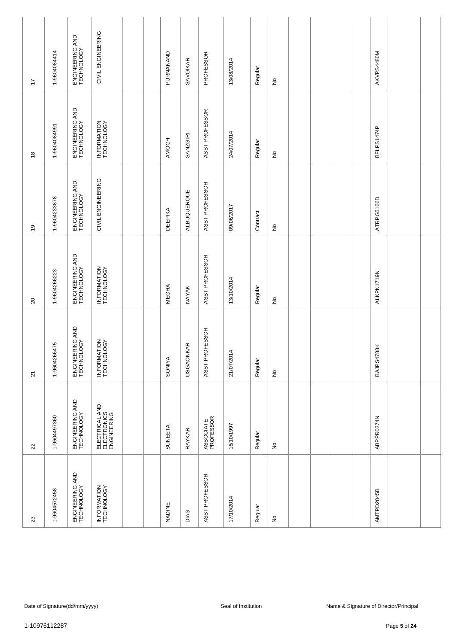| $23\,$                        | $22\,$                                       | $\overline{\mathsf{S}}$       | $\Omega$                      | $\overline{6}$                | $\overset{\circ}{\phantom{a}}$ | 17                            |
|-------------------------------|----------------------------------------------|-------------------------------|-------------------------------|-------------------------------|--------------------------------|-------------------------------|
| 1-9604572458                  | 1-9604497360                                 | 1-9604266475                  | 1-9604266223                  | 1-9604233878                  | 1-9604084991                   | 1-9604084414                  |
| ENGINEERING AND<br>TECHNOLOGY | ENGINEERING AND<br>TECHNOLOGY                | ENGINEERING AND<br>TECHNOLOGY | ENGINEERING AND<br>TECHNOLOGY | ENGINEERING AND<br>TECHNOLOGY | ENGINEERING AND<br>TECHNOLOGY  | ENGINEERING AND<br>TECHNOLOGY |
| INFORMATION<br>TECHNOLOGY     | ELECTRICAL AND<br>ELECTRONICS<br>ENGINEERING | INFORMATION<br>TECHNOLOGY     | INFORMATION<br>TECHNOLOGY     | CIVIL ENGINEERING             | INFORMATION<br>TECHNOLOGY      | CIVIL ENGINEERING             |
|                               |                                              |                               |                               |                               |                                |                               |
|                               |                                              |                               |                               |                               |                                |                               |
| NADINE                        | <b>SUNEETA</b>                               | <b>SONIYA</b>                 | <b>MEGHA</b>                  | <b>DEEPIKA</b>                | AMOGH                          | PURNANAND                     |
| DIAS                          | <b>RAYKAR</b>                                | <b>USGAONKAR</b>              | <b>NAYAK</b>                  | ALBUQUERQUE                   | <b>SANZGIRI</b>                | <b>SAVOIKAR</b>               |
| ASST PROFESSOR                | ASSOCIATE<br>PROFESSOR                       | ASST PROFESSOR                | ASST PROFESSOR                | ASST PROFESSOR                | ASST PROFESSOR                 | PROFESSOR                     |
| 17/10/2014                    | 16/10/1997                                   | 21/07/2014                    | 13/10/2014                    | 09/06/2017                    | 24/07/2014                     | 13/08/2014                    |
| Regular                       | Regular                                      | Regular                       | Regular                       | Contract                      | Regular                        | Regular                       |
| $\frac{\circ}{\sim}$          | $\frac{\circ}{\sim}$                         | $\stackrel{\mathtt{o}}{z}$    | $\frac{1}{2}$                 | $\stackrel{\mathtt{o}}{z}$    | $\stackrel{\mathtt{o}}{z}$     | $\frac{\circ}{\sim}$          |
|                               |                                              |                               |                               |                               |                                |                               |
|                               |                                              |                               |                               |                               |                                |                               |
|                               |                                              |                               |                               |                               |                                |                               |
|                               |                                              |                               |                               |                               |                                |                               |
| AMTPD2845B                    | ABPPR0374N                                   | 788K<br>BAJPS47               | ALKPN1719N                    | ATRPG5166D                    | BFLPS1474P                     | AKVPS4480M                    |
|                               |                                              |                               |                               |                               |                                |                               |
|                               |                                              |                               |                               |                               |                                |                               |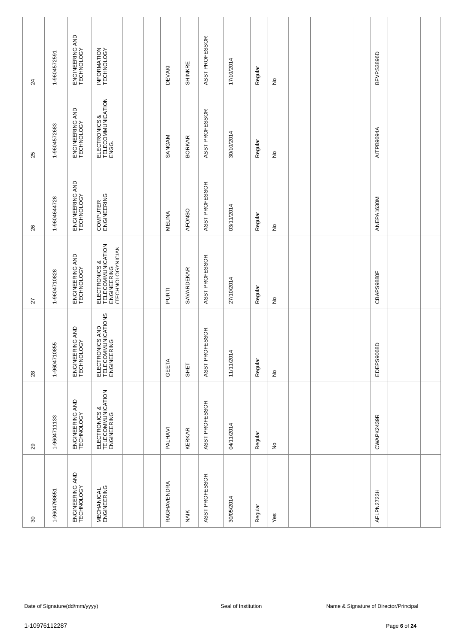|   | 29                                                | 28                                                   | 27                                                                     | 26                            | 25                                          | 24                            |
|---|---------------------------------------------------|------------------------------------------------------|------------------------------------------------------------------------|-------------------------------|---------------------------------------------|-------------------------------|
|   | 1-9604711133                                      | 10855<br>1-960471                                    | 1-9604710828                                                           | 1-9604644728                  | 1-9604572683                                | 1-9604572591                  |
|   | ENGINEERING AND<br>TECHNOLOGY                     | ENGINEERING AND<br>TECHNOLOGY                        | ENGINEERING AND<br>TECHNOLOGY                                          | ENGINEERING AND<br>TECHNOLOGY | ENGINEERING AND<br>TECHNOLOGY               | ENGINEERING AND<br>TECHNOLOGY |
|   | ELECTRONICS &<br>TELECOMMUNICATION<br>ENGINEERING | ELECTRONICS AND<br>TELECOMMUNICATIONS<br>ENGINEERING | ELECTRONICS &<br>TELECOMMUNICATION<br>ENGINEERING<br>ATECHNOLOGYNICIAN | COMPUTER<br>ENGINEERING       | ELECTRONICS &<br>TELECOMMUNICATION<br>ENGG. | INFORMATION<br>TECHNOLOGY     |
|   |                                                   |                                                      |                                                                        |                               |                                             |                               |
|   |                                                   |                                                      |                                                                        |                               |                                             |                               |
|   | PALHAVI                                           | GEETA                                                | PURTI                                                                  | <b>MELINA</b>                 | SANGAM                                      | <b>DEVAKI</b>                 |
|   | <b>KERKAR</b>                                     | SHET                                                 | SAVARDEKAR                                                             | AFONSO                        | <b>BORKAR</b>                               | SHINKRE                       |
|   | ASST PROFESSOR                                    | ASST PROFESSOR                                       | ASST PROFESSOR                                                         | ASST PROFESSOR                | ASST PROFESSOR                              | ASST PROFESSOR                |
|   | 04/11/2014                                        | 11/11/2014                                           | 27/10/2014                                                             | 03/11/2014                    | 30/10/2014                                  | 17/10/2014                    |
|   | Regular                                           | Regular                                              | Regular                                                                | Regular                       | Regular                                     | Regular                       |
| £ |                                                   | $\stackrel{\mathtt{o}}{z}$                           | ş                                                                      | $\stackrel{\mathtt{o}}{z}$    | $\stackrel{\mathtt{o}}{z}$                  | $\frac{\circ}{\sim}$          |
|   |                                                   |                                                      |                                                                        |                               |                                             |                               |
|   |                                                   |                                                      |                                                                        |                               |                                             |                               |
|   |                                                   |                                                      |                                                                        |                               |                                             |                               |
|   |                                                   |                                                      |                                                                        |                               |                                             |                               |
|   | CWAPK2439R                                        | EDEPS9068D                                           | CBAPS9880F                                                             | ANEPA1630M                    | AITPB9694A                                  | BFVPS3896D                    |
|   |                                                   |                                                      |                                                                        |                               |                                             |                               |
|   |                                                   |                                                      |                                                                        |                               |                                             |                               |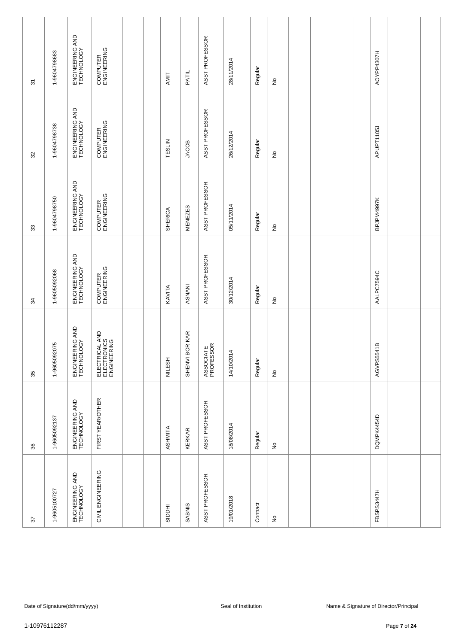| $\overline{\mathfrak{S}}$ | 1-9604798683 | ENGINEERING AND<br>TECHNOLOGY | COMPUTER<br>ENGINEERING                      |  | AMIT          | PATIL                          | ASST PROFESSOR         | 28/11/2014 | Regular  | $\frac{\circ}{\sim}$       |  |  | AOYPP4307H |  |
|---------------------------|--------------|-------------------------------|----------------------------------------------|--|---------------|--------------------------------|------------------------|------------|----------|----------------------------|--|--|------------|--|
| 32                        | 1-9604798738 | ENGINEERING AND<br>TECHNOLOGY | COMPUTER<br>ENGINEERING                      |  | TESLIN        | JACOB                          | ASST PROFESSOR         | 26/12/2014 | Regular  | $\stackrel{\mathtt{o}}{z}$ |  |  | APUPT1105J |  |
| 33                        | 1-9604798750 | ENGINEERING AND<br>TECHNOLOGY | COMPUTER<br>ENGINEERING                      |  | SHERICA       | <b>MENEZES</b>                 | ASST PROFESSOR         | 05/11/2014 | Regular  | $\stackrel{\mathtt{o}}{z}$ |  |  | BPJPM4997K |  |
| 34                        | 1-9605092068 | ENGINEERING AND<br>TECHNOLOGY | COMPUTER<br>ENGINEERING                      |  | KAVITA        | ASNANI                         | ASST PROFESSOR         | 30/12/2014 | Regular  | $\hat{z}$                  |  |  | AALPC7594C |  |
| 35                        | 1-9605092075 | ENGINEERING AND<br>TECHNOLOGY | ELECTRICAL AND<br>ELECTRONICS<br>ENGINEERING |  | <b>NILESH</b> | <b>BORKAR</b><br><b>SHENVI</b> | ASSOCIATE<br>PROFESSOR | 14/10/2014 | Regular  | $\stackrel{\mathtt{o}}{z}$ |  |  | AGVPS5541B |  |
| 36                        | 1-9605092137 | ENGINEERING AND<br>TECHNOLOGY | FIRST YEAR/OTHER                             |  | ASHMITA       | <b>KERKAR</b>                  | ASST PROFESSOR         | 18/08/2014 | Regular  | $\hat{\mathsf{z}}$         |  |  | DQMPK4454D |  |
| 57                        | 1-9605100727 | ENGINEERING AND<br>TECHNOLOGY | CIVIL ENGINEERING                            |  | <b>HOOR</b>   | <b>SABNIS</b>                  | ASST PROFESSOR         | 19/01/2018 | Contract | $\frac{\circ}{\mathsf{Z}}$ |  |  | FBSPS3447H |  |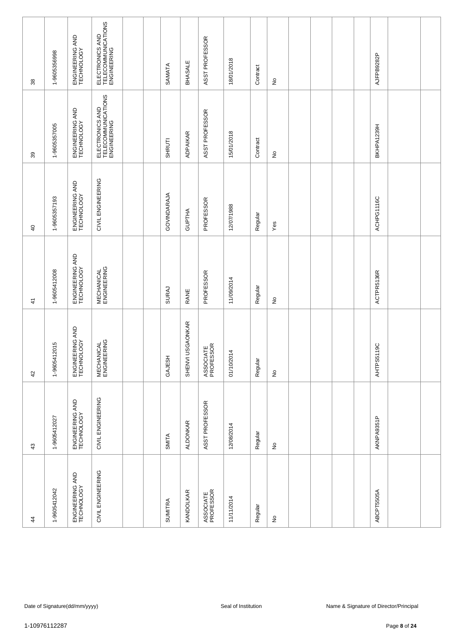| $\ddot{4}$                    | 43                            | 42                                | $\frac{4}{3}$                    | $\overline{a}$                | 39                                                   | 38                                                   |
|-------------------------------|-------------------------------|-----------------------------------|----------------------------------|-------------------------------|------------------------------------------------------|------------------------------------------------------|
| 1-9605412042                  | 1-9605412027                  | 1-9605412015                      | 1-9605412008                     | 1-9605357193                  | 1-9605357005                                         | 1-9605356998                                         |
| ENGINEERING AND<br>TECHNOLOGY | ENGINEERING AND<br>TECHNOLOGY | ENGINEERING AND<br>TECHNOLOGY     | ENGINEERING AND<br>TECHNOLOGY    | ENGINEERING AND<br>TECHNOLOGY | ENGINEERING AND<br>TECHNOLOGY                        | ENGINEERING AND<br>TECHNOLOGY                        |
| CIVIL ENGINEERING             | CIVIL ENGINEERING             | <b>MECHANICAL</b><br>ENGINEERING  | <b>MECHANICAL</b><br>ENGINEERING | CIVIL ENGINEERING             | ELECTRONICS AND<br>TELECOMMUNICATIONS<br>ENGINEERING | ELECTRONICS AND<br>TELECOMMUNICATIONS<br>ENGINEERING |
|                               |                               |                                   |                                  |                               |                                                      |                                                      |
|                               |                               |                                   |                                  |                               |                                                      |                                                      |
| <b>SUMITRA</b>                | SMITA                         | GAJESH                            | <b>SURAJ</b>                     | GOVINDARAJA                   | SHRUTI                                               | SAMATA                                               |
| KANDOLKAR                     | <b>ALDONKAR</b>               | <b>USGAONKAR</b><br><b>SHENVI</b> | RANE                             | <b>GUPTHA</b>                 | <b>ADPAIKAR</b>                                      | <b>BHASALE</b>                                       |
| ASSOCIATE<br>PROFESSOR        | ASST PROFESSOR                | ASSOCIATE<br>PROFESSOR            | PROFESSOR                        | PROFESSOR                     | ASST PROFESSOR                                       | ASST PROFESSOR                                       |
| 11/11/2014                    | 12/08/2014                    | 01/10/2014                        | 11/09/2014                       | 12/07/1988                    | 15/01/2018                                           | 18/01/2018                                           |
| Regular                       | Regular                       | Regular                           | Regular                          | Regular                       | Contract                                             | Contract                                             |
| $\frac{\circ}{\sim}$          | $\frac{\circ}{\sim}$          | $\stackrel{\mathtt{o}}{z}$        | $\hat{z}$                        | Yes                           | $\stackrel{\circ}{\simeq}$                           | $\frac{\circ}{\sim}$                                 |
|                               |                               |                                   |                                  |                               |                                                      |                                                      |
|                               |                               |                                   |                                  |                               |                                                      |                                                      |
|                               |                               |                                   |                                  |                               |                                                      |                                                      |
|                               |                               |                                   |                                  |                               |                                                      |                                                      |
| ABCPT5505A                    | AKNPA9351P                    | AHTPS5119C                        | ACTPR5136R                       | ACHPG1116C                    | BKHPA1239H                                           | AJFPB9282P                                           |
|                               |                               |                                   |                                  |                               |                                                      |                                                      |
|                               |                               |                                   |                                  |                               |                                                      |                                                      |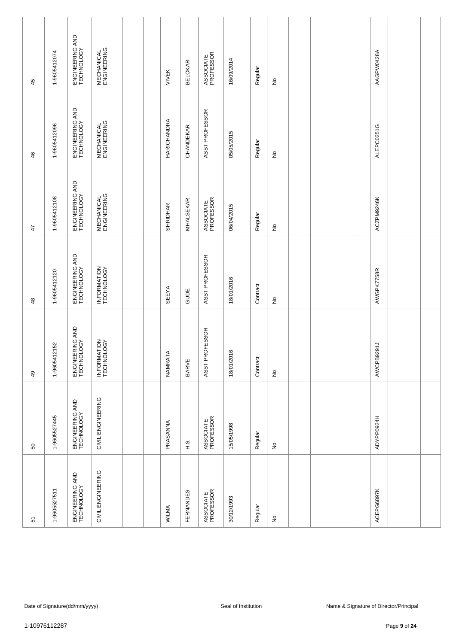| ENGINEERING AND<br>TECHNOLOGY<br>1-9605412108<br>$\ddot{4}$<br>1-9605412120<br>$\frac{8}{3}$ |
|----------------------------------------------------------------------------------------------|
| ENGINEERING AND<br>TECHNOLOGY                                                                |
|                                                                                              |
| INFORMATION<br>TECHNOLOGY                                                                    |
|                                                                                              |
|                                                                                              |
| <b>SEEYA</b>                                                                                 |
| GUDE                                                                                         |
| ASST PROFESSOR                                                                               |
| 18/01/2016                                                                                   |
| Contract                                                                                     |
| ş                                                                                            |
|                                                                                              |
|                                                                                              |
|                                                                                              |
|                                                                                              |
| AWGPK7758R                                                                                   |
|                                                                                              |
|                                                                                              |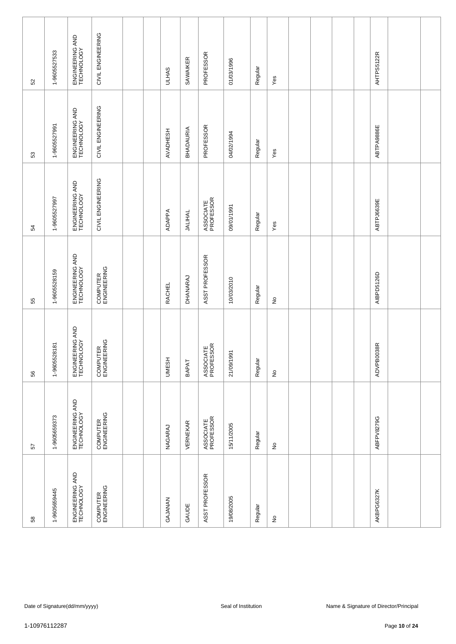| 52                                                                                                                                                                                   | 1-9605527533 | ENGINEERING AND<br>TECHNOLOGY | CIVIL ENGINEERING       |  |  | <b>ULHAS</b> | SAWAIKER       | PROFESSOR              | 01/03/1996          | Regular | Yes                                 |  |  |            | AHTPS5122R |                                        |  |
|--------------------------------------------------------------------------------------------------------------------------------------------------------------------------------------|--------------|-------------------------------|-------------------------|--|--|--------------|----------------|------------------------|---------------------|---------|-------------------------------------|--|--|------------|------------|----------------------------------------|--|
| 53                                                                                                                                                                                   | 1-9605527991 | ENGINEERING AND<br>TECHNOLOGY | CIVIL ENGINEERING       |  |  | AVADHESH     | BHADAURIA      | PROFESSOR              | 04/02/1994          | Regular | $Y$ es                              |  |  |            | ABTPA9886E |                                        |  |
| 54                                                                                                                                                                                   | 1-9605527997 | ENGINEERING AND<br>TECHNOLOGY | CIVIL ENGINEERING       |  |  | ADAPPA       | <b>JALIHAL</b> | ASSOCIATE<br>PROFESSOR | 09/01/1991          | Regular | Yes                                 |  |  |            | ABTPJ6639E |                                        |  |
| ENGINEERING AND<br>TECHNOLOGY<br>ASST PROFESSOR<br>COMPUTER<br>ENGINEERING<br>1-9605528159<br>DHANARAJ<br>10/03/2010<br><b>RACHEL</b><br>Regular<br>$\stackrel{\circ}{\simeq}$<br>55 |              |                               |                         |  |  |              |                |                        |                     |         |                                     |  |  | AIBPD5126D |            |                                        |  |
| 56                                                                                                                                                                                   | 1-9605528181 | ENGINEERING AND<br>TECHNOLOGY | COMPUTER<br>ENGINEERING |  |  | <b>UMESH</b> | BAPAT          | ASSOCIATE<br>PROFESSOR | 21/09/1991          | Regular | $\stackrel{\mathtt{o}}{\mathsf{z}}$ |  |  |            | ADVPB0038R |                                        |  |
| 57                                                                                                                                                                                   | 1-9605659373 | ENGINEERING AND<br>TECHNOLOGY | COMPUTER<br>ENGINEERING |  |  | NAGARAJ      | VERNEKAR       | ASSOCIATE<br>PROFESSOR | 15/11/2005          | Regular | $\hat{\mathsf{z}}$                  |  |  |            | ABFPV8279G |                                        |  |
| 58                                                                                                                                                                                   | 1-9605659445 | ENGINEERING AND<br>TECHNOLOGY | COMPUTER<br>ENGINEERING |  |  | GAJANAN      | GAUDE          | ASST PROFESSOR         | 19/08/2005          | Regular | $\hat{\mathsf{z}}$                  |  |  |            | AKBPG6327K |                                        |  |
|                                                                                                                                                                                      |              |                               |                         |  |  |              |                |                        |                     |         |                                     |  |  |            |            |                                        |  |
|                                                                                                                                                                                      |              | Date of Signature(dd/mm/yyyy) |                         |  |  |              |                |                        | Seal of Institution |         |                                     |  |  |            |            | Name & Signature of Director/Principal |  |
| 1-10976112287                                                                                                                                                                        |              |                               |                         |  |  |              |                |                        |                     |         |                                     |  |  |            |            | Page 10 of 24                          |  |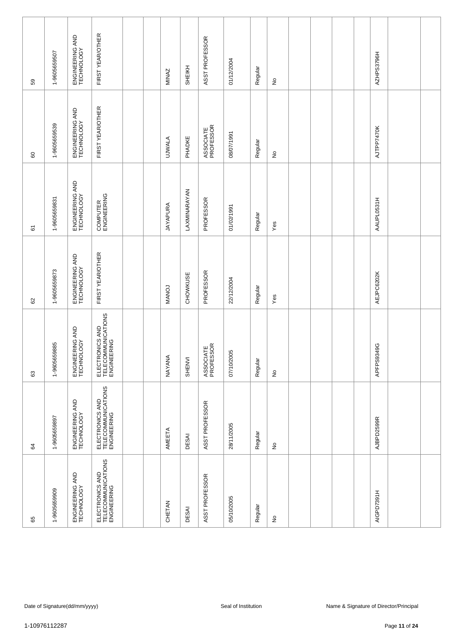| S9                                                                                                                                                                                                                                    | 1-9605659507                                                                                   | ENGINEERING AND<br>TECHNOLOGY | FIRST YEAR/OTHER                                     |  |  | <b>MINAZ</b>    | SHEIKH       | ASST PROFESSOR         | 01/12/2004 | Regular | $\frac{\circ}{\sim}$       |  |  |  | AZHPS3796H |               |  |
|---------------------------------------------------------------------------------------------------------------------------------------------------------------------------------------------------------------------------------------|------------------------------------------------------------------------------------------------|-------------------------------|------------------------------------------------------|--|--|-----------------|--------------|------------------------|------------|---------|----------------------------|--|--|--|------------|---------------|--|
| 60                                                                                                                                                                                                                                    | 1-9605659539                                                                                   | ENGINEERING AND<br>TECHNOLOGY | FIRST YEAR/OTHER                                     |  |  | <b>UJWALA</b>   | PHADKE       | ASSOCIATE<br>PROFESSOR | 08/07/1991 | Regular | $\stackrel{\mathtt{o}}{z}$ |  |  |  | AJTPP7470K |               |  |
| 61                                                                                                                                                                                                                                    | 1-9605659831                                                                                   | ENGINEERING AND<br>TECHNOLOGY | COMPUTER<br>ENGINEERING                              |  |  | <b>JAYAPURA</b> | LAXMINARAYAN | PROFESSOR              | 01/02/1991 | Regular | Yes                        |  |  |  | AAUPL0531H |               |  |
| FIRST YEAR/OTHER<br>ENGINEERING AND<br>TECHNOLOGY<br>1-9605659873<br>PROFESSOR<br>AEJPC6202K<br>CHOWKUSE<br>22/12/2004<br><b>MANOJ</b><br>Regular<br>Yes<br>8                                                                         |                                                                                                |                               |                                                      |  |  |                 |              |                        |            |         |                            |  |  |  |            |               |  |
| ELECTRONICS AND<br>TELECOMMUNICATIONS<br>ENGINEERING<br>ENGINEERING AND<br>TECHNOLOGY<br>1-9605659885<br>ASSOCIATE<br>PROFESSOR<br>APFPS9349G<br>07/10/2005<br>NAYANA<br><b>SHENVI</b><br>Regular<br>$\stackrel{\mathtt{o}}{z}$<br>63 |                                                                                                |                               |                                                      |  |  |                 |              |                        |            |         |                            |  |  |  |            |               |  |
| 84                                                                                                                                                                                                                                    | 1-9605659897                                                                                   | ENGINEERING AND<br>TECHNOLOGY | ELECTRONICS AND<br>TELECOMMUNICATIONS<br>ENGINEERING |  |  | AMEETA          | <b>DESAI</b> | ASST PROFESSOR         | 28/11/2005 | Regular | $\frac{\circ}{\sim}$       |  |  |  | AJBPD2599R |               |  |
| 65                                                                                                                                                                                                                                    | 1-9605659909                                                                                   | ENGINEERING AND<br>TECHNOLOGY | ELECTRONICS AND<br>TELECOMMUNICATIONS<br>ENGINEERING |  |  | CHETAN          | DESAI        | ASST PROFESSOR         | 05/10/2005 | Regular | $\hat{z}$                  |  |  |  | AIGPD7391H |               |  |
|                                                                                                                                                                                                                                       |                                                                                                |                               |                                                      |  |  |                 |              |                        |            |         |                            |  |  |  |            |               |  |
|                                                                                                                                                                                                                                       | Date of Signature(dd/mm/yyyy)<br>Seal of Institution<br>Name & Signature of Director/Principal |                               |                                                      |  |  |                 |              |                        |            |         |                            |  |  |  |            |               |  |
| 1-10976112287                                                                                                                                                                                                                         |                                                                                                |                               |                                                      |  |  |                 |              |                        |            |         |                            |  |  |  |            | Page 11 of 24 |  |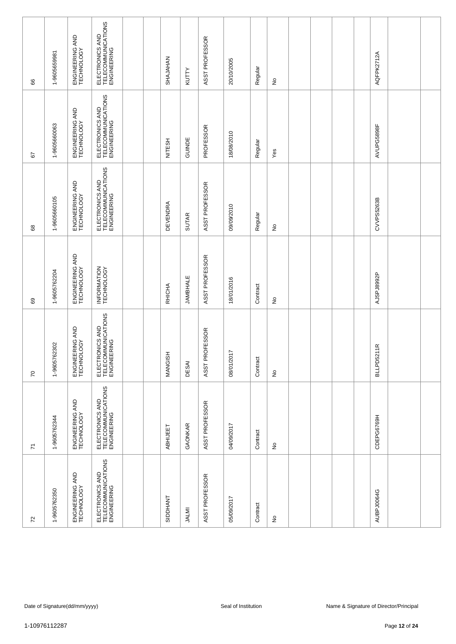| 8                                                                                                                                                                                                                                     | 1-9605659981 | ENGINEERING AND<br>TECHNOLOGY | ELECTRONICS AND<br>TELECOMMUNICATIONS<br>ENGINEERING |  | <b>NATALAHS</b> | KUTTY           | ASST PROFESSOR | 20/10/2005          | Regular  | $\hat{z}$                  |  |  |  | AQFPK2712A     |                                                         |  |
|---------------------------------------------------------------------------------------------------------------------------------------------------------------------------------------------------------------------------------------|--------------|-------------------------------|------------------------------------------------------|--|-----------------|-----------------|----------------|---------------------|----------|----------------------------|--|--|--|----------------|---------------------------------------------------------|--|
| 57                                                                                                                                                                                                                                    | 1-9605660063 | ENGINEERING AND<br>TECHNOLOGY | ELECTRONICS AND<br>TELECOMMUNICATIONS<br>ENGINEERING |  | <b>NITESH</b>   | GUINDE          | PROFESSOR      | 18/08/2010          | Regular  | Yes                        |  |  |  | AVUPG5898F     |                                                         |  |
| 8                                                                                                                                                                                                                                     | 1-9605660105 | ENGINEERING AND<br>TECHNOLOGY | ELECTRONICS AND<br>TELECOMMUNICATIONS<br>ENGINEERING |  | <b>DEVENDRA</b> | <b>SUTAR</b>    | ASST PROFESSOR | 09/09/2010          | Regular  | $\stackrel{\circ}{\simeq}$ |  |  |  | CVVPS5263B     |                                                         |  |
| 69                                                                                                                                                                                                                                    | 1-9605762204 | ENGINEERING AND<br>TECHNOLOGY | INFORMATION<br>TECHNOLOGY                            |  | RHICHA          | <b>JAMBHALE</b> | ASST PROFESSOR | 18/01/2016          | Contract | £                          |  |  |  | AJSPJ8992P     |                                                         |  |
| ELECTRONICS AND<br>TELECOMMUNICATIONS<br>ENGINEERING<br>ENGINEERING AND<br>TECHNOLOGY<br>ASST PROFESSOR<br>1-9605762302<br>08/01/2017<br><b>MANGISH</b><br>Contract<br>DESAI<br>$\stackrel{\mathtt{o}}{\mathsf{z}}$<br>$\overline{C}$ |              |                               |                                                      |  |                 |                 |                |                     |          |                            |  |  |  | 211R<br>BLLPD5 |                                                         |  |
| $\overline{\kappa}$                                                                                                                                                                                                                   | 1-9605762344 | ENGINEERING AND<br>TECHNOLOGY | ELECTRONICS AND<br>TELECOMMUNICATIONS<br>ENGINEERING |  | <b>ABHIJEET</b> | GAONKAR         | ASST PROFESSOR | 04/09/2017          | Contract | $\frac{\circ}{\sim}$       |  |  |  | CDEPG6769H     |                                                         |  |
| $\overline{r}$                                                                                                                                                                                                                        | 1-9605762350 | $\frac{\circ}{\sim}$          |                                                      |  |                 | AUBPJ0064G      |                |                     |          |                            |  |  |  |                |                                                         |  |
|                                                                                                                                                                                                                                       |              |                               |                                                      |  |                 |                 |                |                     |          |                            |  |  |  |                |                                                         |  |
| 1-10976112287                                                                                                                                                                                                                         |              | Date of Signature(dd/mm/yyyy) |                                                      |  |                 |                 |                | Seal of Institution |          |                            |  |  |  |                | Name & Signature of Director/Principal<br>Page 12 of 24 |  |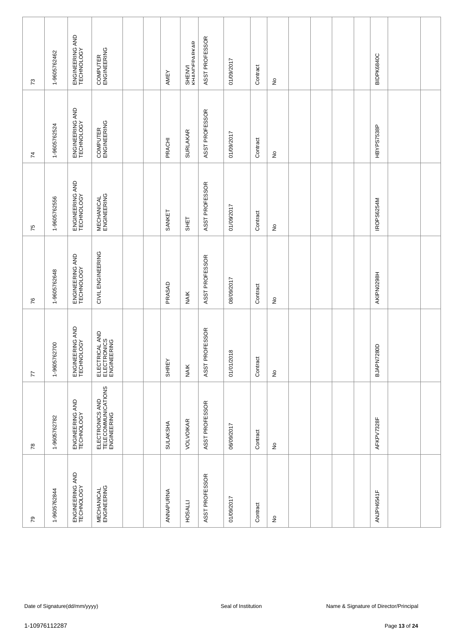| $\mathcal{L}$   | 1-9605762462     | ENGINEERING AND<br>TECHNOLOGY | COMPUTER<br>ENGINEERING                              |  | AMEY      | SHENVI<br>KHANNFPARKAR | ASST PROFESSOR                 | 01/09/2017          | Contract | $\frac{\circ}{\sim}$       |  |  | BIDPK6840C |                                                         |  |
|-----------------|------------------|-------------------------------|------------------------------------------------------|--|-----------|------------------------|--------------------------------|---------------------|----------|----------------------------|--|--|------------|---------------------------------------------------------|--|
| $\overline{74}$ | 1-9605762524     | ENGINEERING AND<br>TECHNOLOGY | COMPUTER<br>ENGINEERING                              |  | PRACHI    | <b>SURLAKAR</b>        | ASST PROFESSOR                 | 01/09/2017          | Contract | $\stackrel{\circ}{\simeq}$ |  |  | HBYPS7538P |                                                         |  |
| 75              | 1-9605762556     | ENGINEERING AND<br>TECHNOLOGY | <b>MECHANICAL</b><br>ENGINEERING                     |  | SANKET    | SHET                   | ASST PROFESSOR                 | 01/09/2017          | Contract | $\stackrel{\mathtt{o}}{z}$ |  |  | IROPS6254M |                                                         |  |
| 76              | 1-9605762648     | ENGINEERING AND<br>TECHNOLOGY | CIVIL ENGINEERING                                    |  | PRASAD    | <b>NAIK</b>            | ASST PROFESSOR                 | 08/09/2017          | Contract | $\frac{\circ}{\sim}$       |  |  | AKIPN0298H |                                                         |  |
| 77              | 62700<br>1-96057 | ENGINEERING AND<br>TECHNOLOGY | ELECTRICAL AND<br>ELECTRONICS<br>ELECTRONICS         |  | SHREY     | <b>NAIK</b>            | ROFESSOR<br>ASST <sub>PF</sub> | 01/01/2018          | Contract | $\stackrel{\mathtt{o}}{z}$ |  |  | BJAPN7280D |                                                         |  |
| $78$            | 1-9605762782     | ENGINEERING AND<br>TECHNOLOGY | ELECTRONICS AND<br>TELECOMMUNICATIONS<br>ENGINEERING |  | SULAKSHA  | VOLVOIKAR              | ASST PROFESSOR                 | 06/09/2017          | Contract | $\frac{\circ}{\sim}$       |  |  | AFKPV7328F |                                                         |  |
| $\mathcal{S}$   | 1-9605762844     | ENGINEERING AND<br>TECHNOLOGY | <b>MECHANICAL</b><br>ENGINEERING                     |  | ANNAPURNA | <b>HOSALLI</b>         | ASST PROFESSOR                 | 01/09/2017          | Contract | $\frac{\circ}{\sim}$       |  |  | ANJPH6541F |                                                         |  |
|                 |                  |                               |                                                      |  |           |                        |                                |                     |          |                            |  |  |            |                                                         |  |
|                 | 1-10976112287    | Date of Signature(dd/mm/yyyy) |                                                      |  |           |                        |                                | Seal of Institution |          |                            |  |  |            | Name & Signature of Director/Principal<br>Page 13 of 24 |  |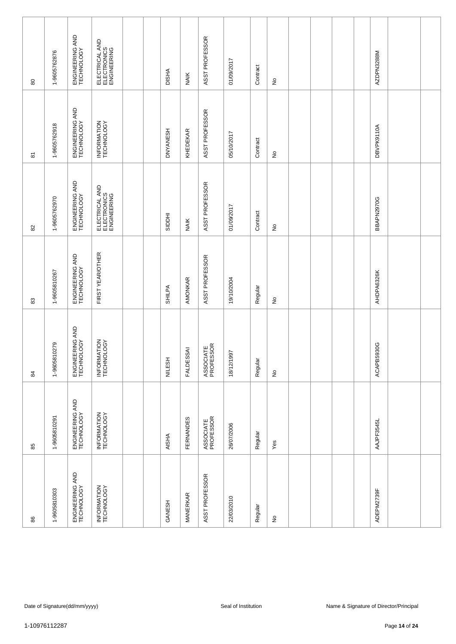| $\pmb{\mathbb{S}}$  | 1-9605762876                                                                                   | ENGINEERING AND<br>TECHNOLOGY | ELECTRICAL AND<br>ELECTRONICS<br>ENGINEERING |  | <b>DISHA</b>    | <b>NAIK</b>      | ASST PROFESSOR         | 01/09/2017 | Contract | $\hat{z}$                  |  |  |  | AZDPN3288M |  |
|---------------------|------------------------------------------------------------------------------------------------|-------------------------------|----------------------------------------------|--|-----------------|------------------|------------------------|------------|----------|----------------------------|--|--|--|------------|--|
| $\overline{\infty}$ | 1-9605762918                                                                                   | ENGINEERING AND<br>TECHNOLOGY | INFORMATION<br>TECHNOLOGY                    |  | <b>DNYANESH</b> | KHEDEKAR         | ASST PROFESSOR         | 05/10/2017 | Contract | $\stackrel{\mathtt{o}}{z}$ |  |  |  | DBVPK9110A |  |
| 82                  | 1-9605762970                                                                                   | ENGINEERING AND<br>TECHNOLOGY | ELECTRICAL AND<br>ELECTRONICS<br>ELECTRONICS |  | <b>RIDDHI</b>   | <b>NAIK</b>      | ASST PROFESSOR         | 01/09/2017 | Contract | $\stackrel{\mathtt{o}}{z}$ |  |  |  | BBAPN2970G |  |
| 83                  | 1-9605810267                                                                                   | ENGINEERING AND<br>TECHNOLOGY | FIRST YEAR/OTHER                             |  | SHILPA          | AMONKAR          | ASST PROFESSOR         | 19/10/2004 | Regular  | $\hat{z}$                  |  |  |  | AHDPA6326K |  |
| 84                  | 1-9605810279                                                                                   | ENGINEERING AND<br>TECHNOLOGY | INFORMATION<br>TECHNOLOGY                    |  | <b>NILESH</b>   | <b>FALDESSAI</b> | ASSOCIATE<br>PROFESSOR | 18/12/1997 | Regular  | $\stackrel{\mathtt{o}}{z}$ |  |  |  | ACAPB5930G |  |
| 85                  | 1-9605810291                                                                                   | ENGINEERING AND<br>TECHNOLOGY | INFORMATION<br>TECHNOLOGY                    |  | <b>AISHA</b>    | FERNANDES        | ASSOCIATE<br>PROFESSOR | 26/07/2006 | Regular  | Yes                        |  |  |  | AAJPF3545L |  |
| 86                  | 1-9605810303                                                                                   | ENGINEERING AND<br>TECHNOLOGY | INFORMATION<br>TECHNOLOGY                    |  | GANESH          | MANERKAR         | ASST PROFESSOR         | 22/03/2010 | Regular  | $\frac{\circ}{\sim}$       |  |  |  | ADEPM2739F |  |
|                     |                                                                                                |                               |                                              |  |                 |                  |                        |            |          |                            |  |  |  |            |  |
| 1-10976112287       | Date of Signature(dd/mm/yyyy)<br>Seal of Institution<br>Name & Signature of Director/Principal |                               |                                              |  |                 |                  |                        |            |          |                            |  |  |  |            |  |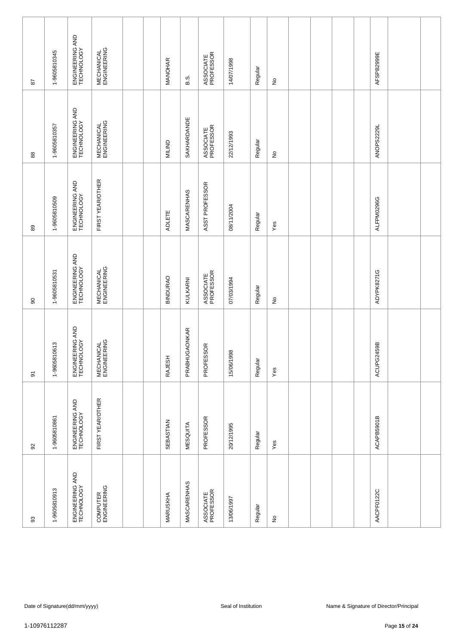| 28                      | 1-9605810345                                                                                   | ENGINEERING AND<br>TECHNOLOGY | <b>MECHANICAL</b><br>ENGINEERING |  |  | MANOHAR       | B.S.                 | ASSOCIATE<br>PROFESSOR | 14/07/1998 | Regular              | $\frac{\circ}{\sim}$       |  |  |            | AFSPB2999E |               |  |
|-------------------------|------------------------------------------------------------------------------------------------|-------------------------------|----------------------------------|--|--|---------------|----------------------|------------------------|------------|----------------------|----------------------------|--|--|------------|------------|---------------|--|
| $_{88}$                 | 1-9605810357                                                                                   | ENGINEERING AND<br>TECHNOLOGY | <b>MECHANICAL</b><br>ENGINEERING |  |  | <b>MILIND</b> | SAKHARDANDE          | ASSOCIATE<br>PROFESSOR | 22/12/1993 | Regular              | $\stackrel{\mathtt{o}}{z}$ |  |  |            | ANOPS2229L |               |  |
| 89                      | 1-9605810509                                                                                   | ENGINEERING AND<br>TECHNOLOGY | FIRST YEAR/OTHER                 |  |  | <b>ADLETE</b> | MASCARENHAS          | ASST PROFESSOR         | 08/11/2004 | Regular              | Yes                        |  |  |            | ALFPM0296G |               |  |
| 90                      | 1-9605810531                                                                                   | ENGINEERING AND<br>TECHNOLOGY | <b>MECHANICAL</b><br>ENGINEERING |  |  | BINDURAO      | KULKARNI             | ASSOCIATE<br>PROFESSOR | 07/03/1994 | Regular              | $\hat{z}$                  |  |  |            | ADYPK8271G |               |  |
| $\overline{\mathbf{5}}$ | 1-9605810613                                                                                   | ENGINEERING AND<br>TECHNOLOGY | <b>MECHANICAL</b><br>ENGINEERING |  |  | RAJESH        | <b>PRABHUGAONKAR</b> | PROFESSOR              | 15/06/1998 | Regular              | Yes                        |  |  |            | ACUPG2459B |               |  |
| $\Omega$                | 1-9605810861                                                                                   | ENGINEERING AND<br>TECHNOLOGY | FIRST YEAR/OTHER                 |  |  | SEBASTIAN     | <b>MESQUITA</b>      | PROFESSOR              | 20/12/1995 | Regular              | Yes                        |  |  |            | ACAPB5901B |               |  |
| $93$                    | 1-9605810913                                                                                   | ENGINEERING AND<br>TECHNOLOGY | COMPUTER<br>ENGINEERING          |  |  | MARUSKHA      | MASCARENHAS          | 13/06/1997             | Regular    | $\frac{\circ}{\sim}$ |                            |  |  | AACPF0122C |            |               |  |
|                         |                                                                                                |                               |                                  |  |  |               |                      |                        |            |                      |                            |  |  |            |            |               |  |
|                         | Seal of Institution<br>Name & Signature of Director/Principal<br>Date of Signature(dd/mm/yyyy) |                               |                                  |  |  |               |                      |                        |            |                      |                            |  |  |            |            |               |  |
| 1-10976112287           |                                                                                                |                               |                                  |  |  |               |                      |                        |            |                      |                            |  |  |            |            | Page 15 of 24 |  |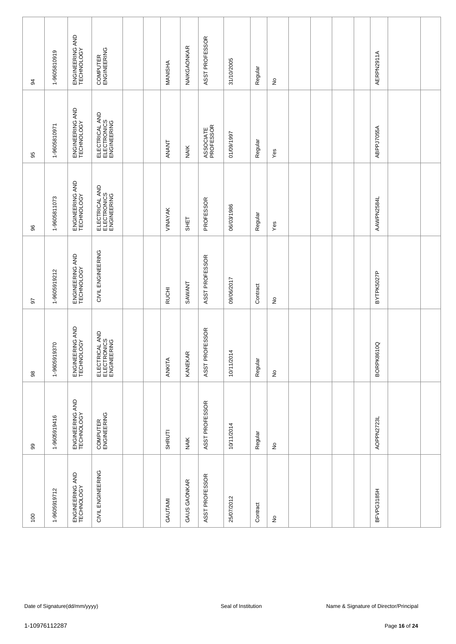| 34            | 1-9605810919 | ENGINEERING AND<br>TECHNOLOGY | COMPUTER<br>ENGINEERING                      |  |  | MANISHA      | NAIKGAONKAR  | ASST PROFESSOR         | 31/10/2005          | Regular  | $\frac{\circ}{\sim}$       |  |  | AERPN2911A |                                        |  |
|---------------|--------------|-------------------------------|----------------------------------------------|--|--|--------------|--------------|------------------------|---------------------|----------|----------------------------|--|--|------------|----------------------------------------|--|
| 95            | 1-9605810971 | ENGINEERING AND<br>TECHNOLOGY | ELECTRICAL AND<br>ELECTRONICS<br>ENGINEERING |  |  | ANANT        | <b>NAIK</b>  | ASSOCIATE<br>PROFESSOR | 01/09/1997          | Regular  | Yes                        |  |  | ABPPJ7055A |                                        |  |
| 96            | 1-9605811073 | ENGINEERING AND<br>TECHNOLOGY | ELECTRICAL AND<br>ELECTRONICS<br>ELECTRONICS |  |  | VINAYAK      | SHET         | PROFESSOR              | 06/03/1986          | Regular  | Yes                        |  |  | AAWPN2584L |                                        |  |
| 50            | 1-9605919212 | ENGINEERING AND<br>TECHNOLOGY | CIVIL ENGINEERING                            |  |  | <b>RUCHI</b> | SAWANT       | ASST PROFESSOR         | 09/06/2017          | Contract | ş                          |  |  | BYTPK5027P |                                        |  |
| $98$          | 1-9605919370 | ENGINEERING AND<br>TECHNOLOGY | ELECTRICAL AND<br>ELECTRONICS<br>ENGINEERING |  |  | ANKITA       | œ<br>KANEKA  | ASST PROFESSOR         | 10/11/2014          | Regular  | $\stackrel{\mathtt{o}}{z}$ |  |  | BORPK8610Q |                                        |  |
| 99            | 1-9605919416 | ENGINEERING AND<br>TECHNOLOGY | COMPUTER<br>ENGINEERING                      |  |  | SHRUTI       | <b>NAIK</b>  | ASST PROFESSOR         | 10/11/2014          | Regular  | $\frac{\circ}{\sim}$       |  |  | AOPPN2723L |                                        |  |
| 100           | 1-9605919712 | ENGINEERING AND<br>TECHNOLOGY | CIVIL ENGINEERING                            |  |  | GAUTAMI      | GAUS GAONKAR | ASST PROFESSOR         | 25/07/2012          | Contract | $\frac{\circ}{\sim}$       |  |  | BFVPG3185H |                                        |  |
|               |              |                               |                                              |  |  |              |              |                        |                     |          |                            |  |  |            |                                        |  |
|               |              | Date of Signature(dd/mm/yyyy) |                                              |  |  |              |              |                        | Seal of Institution |          |                            |  |  |            | Name & Signature of Director/Principal |  |
| 1-10976112287 |              |                               |                                              |  |  |              |              |                        |                     |          |                            |  |  |            | Page 16 of 24                          |  |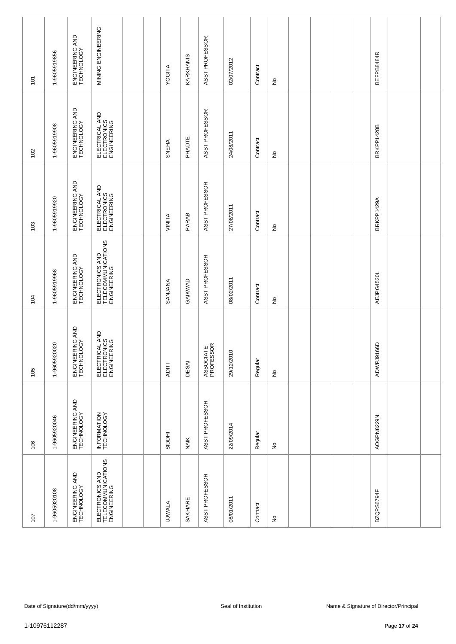| $\tilde{\mathsf{C}}$                                                                                                                                                                                                | 1-9605919856 | ENGINEERING AND<br>TECHNOLOGY | MINING ENGINEERING                                   |  |  | YOGITA        | KARKHANIS   | ASST PROFESSOR | 02/07/2012 | Contract | $\frac{\circ}{\sim}$       |  |  |            | BEFPB8484R |               |  |
|---------------------------------------------------------------------------------------------------------------------------------------------------------------------------------------------------------------------|--------------|-------------------------------|------------------------------------------------------|--|--|---------------|-------------|----------------|------------|----------|----------------------------|--|--|------------|------------|---------------|--|
| 102                                                                                                                                                                                                                 | 1-9605919908 | ENGINEERING AND<br>TECHNOLOGY | ELECTRICAL AND<br>ELECTRONICS<br>ENGINEERING         |  |  | <b>SNEHA</b>  | PHADTE      | ASST PROFESSOR | 24/08/2011 | Contract | $\stackrel{\circ}{\simeq}$ |  |  |            | BRKPP1428B |               |  |
| 103                                                                                                                                                                                                                 | 1-9605919920 | ENGINEERING AND<br>TECHNOLOGY | ELECTRICAL AND<br>ELECTRONICS<br>ENGINEERING         |  |  | VINITA        | PARAB       | ASST PROFESSOR | 27/08/2011 | Contract | $\stackrel{\circ}{\simeq}$ |  |  |            | BRKPP1429A |               |  |
| ELECTRONICS AND<br>TELECOMMUNICATIONS<br>ENGINEERING<br>ENGINEERING AND<br>TECHNOLOGY<br>ASST PROFESSOR<br>1-9605919968<br><b>AEJPG4520L</b><br>08/02/2011<br>GAIKWAD<br>SANJANA<br>Contract<br>$\overline{5}$<br>ş |              |                               |                                                      |  |  |               |             |                |            |          |                            |  |  |            |            |               |  |
| ENGINEERING AND<br>TECHNOLOGY<br>ELECTRICAL AND<br>ELECTRONICS<br>ENGINEERING<br>1-9605920020<br>ASSOCIATE<br>PROFESSOR<br>29/12/2010<br>Regular<br>DESAI<br><b>ADITI</b><br>105<br>$\stackrel{\mathtt{o}}{z}$      |              |                               |                                                      |  |  |               |             |                |            |          |                            |  |  | ADWPJ9166D |            |               |  |
| 106                                                                                                                                                                                                                 | 1-9605920046 | ENGINEERING AND<br>TECHNOLOGY | INFORMATION<br>TECHNOLOGY                            |  |  | <b>HOOIS</b>  | <b>NAIK</b> | ASST PROFESSOR | 22/09/2014 | Regular  | $\frac{\circ}{\sim}$       |  |  |            | AOGPN8229N |               |  |
| 107                                                                                                                                                                                                                 | 1-9605920108 | ENGINEERING AND<br>TECHNOLOGY | ELECTRONICS AND<br>TELECOMMUNICATIONS<br>ENGINEERING |  |  | <b>UJWALA</b> | SAKHARE     | ASST PROFESSOR | 08/01/2011 | Contract | $\frac{\circ}{\sim}$       |  |  |            | BZQPS6794F |               |  |
|                                                                                                                                                                                                                     |              |                               |                                                      |  |  |               |             |                |            |          |                            |  |  |            |            |               |  |
| Date of Signature(dd/mm/yyyy)<br>Seal of Institution<br>Name & Signature of Director/Principal                                                                                                                      |              |                               |                                                      |  |  |               |             |                |            |          |                            |  |  |            |            |               |  |
| 1-10976112287                                                                                                                                                                                                       |              |                               |                                                      |  |  |               |             |                |            |          |                            |  |  |            |            | Page 17 of 24 |  |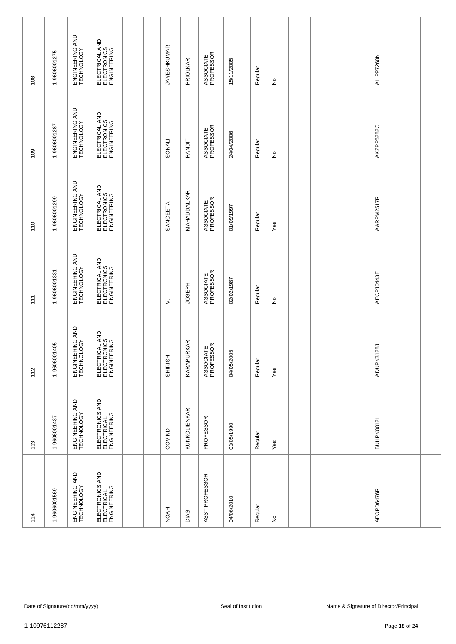| 108                                                                                                             | 1-9606001275 | ENGINEERING AND<br>TECHNOLOGY | ELECTRICAL AND<br>ELECTRONICS<br>ENGINEERING |  | <b>JAYESHKUMAR</b> | <b>PRIOLKAR</b>     | ASSOCIATE<br>PROFESSOR | 15/11/2005 | Regular | £                          |  |               |  | AILPP7260N |  |
|-----------------------------------------------------------------------------------------------------------------|--------------|-------------------------------|----------------------------------------------|--|--------------------|---------------------|------------------------|------------|---------|----------------------------|--|---------------|--|------------|--|
| 109                                                                                                             | 1-9606001287 | ENGINEERING AND<br>TECHNOLOGY | ELECTRICAL AND<br>ELECTRONICS<br>ENGINEERING |  | SONALI             | <b>PANDIT</b>       | ASSOCIATE<br>PROFESSOR | 24/04/2006 | Regular | $\stackrel{\circ}{\simeq}$ |  |               |  | AKZPP5282C |  |
| 110                                                                                                             | 1-9606001299 | ENGINEERING AND<br>TECHNOLOGY | ELECTRICAL AND<br>ELECTRONICS<br>ENGINEERING |  | SANGEETA           | MAHADDALKAR         | ASSOCIATE<br>PROFESSOR | 1/09/1997  | Regular | Yes                        |  |               |  | AARPM2517R |  |
| 111                                                                                                             | 1-9606001331 | ENGINEERING AND<br>TECHNOLOGY | ELECTRICAL AND<br>ELECTRONICS<br>ENGINEERING |  | $\dot{ }$          | <b>JOSEPH</b>       | ASSOCIATE<br>PROFESSOR | 02/02/1987 | Regular | ş                          |  |               |  | AECPJ0443E |  |
| 112                                                                                                             | 1-9606001405 | ENGINEERING AND<br>TECHNOLOGY | ELECTRICAL AND<br>ELECTRONICS<br>ENGINEERING |  | SHIRISH            | KARAPURKAR          | ASSOCIATE<br>PROFESSOR | 04/05/2005 | Regular | Yes                        |  |               |  | ADUPK3128J |  |
| 113                                                                                                             | 1-9606001437 | ENGINEERING AND<br>TECHNOLOGY | ELECTRONICS AND<br>ELECTRICAL<br>ENGINEERING |  | GOVIND             | <b>KUNKOLIENKAR</b> | PROFESSOR              | 01/05/1990 | Regular | Yes                        |  |               |  | BUHPK0012L |  |
| 114                                                                                                             | 1-9606001569 | ENGINEERING AND<br>TECHNOLOGY | ELECTRONICS AND<br>ELECTRICAL<br>ENGINEERING |  | <b>NOAH</b>        | DIAS                | ASST PROFESSOR         | 04/06/2010 | Regular | £                          |  |               |  | AEOPD6476R |  |
|                                                                                                                 |              |                               |                                              |  |                    |                     |                        |            |         |                            |  |               |  |            |  |
| Date of Signature(dd/mm/yyyy)<br>Seal of Institution<br>Name & Signature of Director/Principal<br>1-10976112287 |              |                               |                                              |  |                    |                     |                        |            |         |                            |  | Page 18 of 24 |  |            |  |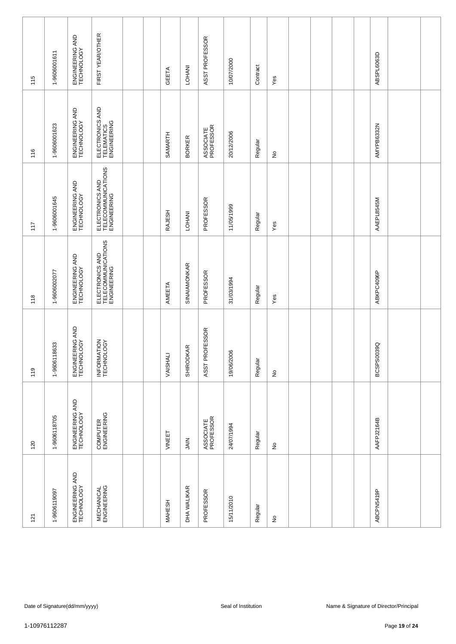| 115           | 1-9606001611                                                                                   | ENGINEERING AND<br>TECHNOLOGY | FIRST YEAR/OTHER                                     |  | GEETA         | LOHANI           | ASST PROFESSOR         | 10/07/2000 | Contract | Yes                        |  |  |  | ABSPL6063D |  |
|---------------|------------------------------------------------------------------------------------------------|-------------------------------|------------------------------------------------------|--|---------------|------------------|------------------------|------------|----------|----------------------------|--|--|--|------------|--|
| 116           | 1-9606001623                                                                                   | ENGINEERING AND<br>TECHNOLOGY | ELECTRONICS AND<br>TELEMATICS<br>ENGINEERING         |  | SAMARTH       | <b>BORKER</b>    | ASSOCIATE<br>PROFESSOR | 20/12/2006 | Regular  | $\stackrel{\circ}{\simeq}$ |  |  |  | AMYPB6332N |  |
| 117           | 1-9606001645                                                                                   | ENGINEERING AND<br>TECHNOLOGY | ELECTRONICS AND<br>TELECOMMUNICATIONS<br>ENGINEERING |  | RAJESH        | LOHANI           | PROFESSOR              | 11/05/1999 | Regular  | Yes                        |  |  |  | AAEPL8545M |  |
| 118           | 1-9606002077                                                                                   | ENGINEERING AND<br>TECHNOLOGY | ELECTRONICS AND<br>TELECOMMUNICATIONS<br>ENGINEERING |  | AMEETA        | SINAIAMONKAR     | PROFESSOR              | 31/03/1994 | Regular  | Yes                        |  |  |  | ABKPC4096P |  |
| 119           | 1-9606118633                                                                                   | ENGINEERING AND<br>TECHNOLOGY | INFORMATION<br>TECHNOLOGY                            |  | VAISHALI      | <b>SHIRODKAR</b> | ASST PROFESSOR         | 19/06/2006 | Regular  | $\stackrel{\mathtt{o}}{z}$ |  |  |  | BCSPS0039Q |  |
| 120           | 1-9606118705                                                                                   | ENGINEERING AND<br>TECHNOLOGY | COMPUTER<br>ENGINEERING                              |  | VINEET        | SIAIN            | ASSOCIATE<br>PROFESSOR | 24/07/1994 | Regular  | $\frac{\circ}{\sim}$       |  |  |  | AAFPJ2164B |  |
| 121           | 1-9606119097                                                                                   | ENGINEERING AND<br>TECHNOLOGY | <b>MECHANICAL</b><br>ENGINEERING                     |  | <b>MAHESH</b> | DHA WALIKAR      | PROFESSOR              | 15/11/2010 | Regular  | $\frac{\circ}{\sim}$       |  |  |  | ABCPN5419P |  |
|               |                                                                                                |                               |                                                      |  |               |                  |                        |            |          |                            |  |  |  |            |  |
| 1-10976112287 | Date of Signature(dd/mm/yyyy)<br>Seal of Institution<br>Name & Signature of Director/Principal |                               |                                                      |  |               |                  |                        |            |          |                            |  |  |  |            |  |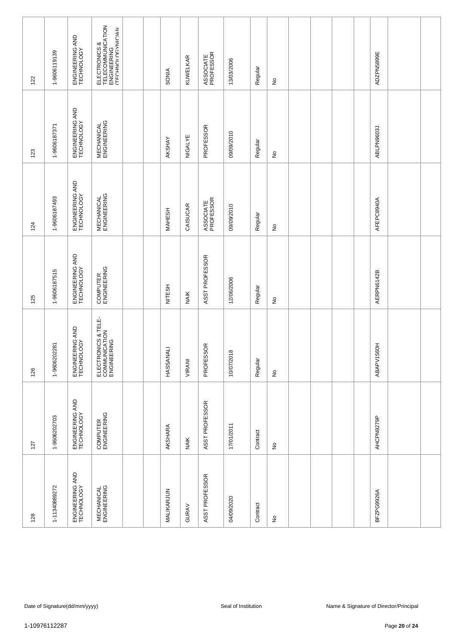| 122                                                  | 1-9606119139  | ENGINEERING AND<br>TECHNOLOGY | ELECTRONICS &<br>TELECOMMUNICATION<br>ENGINEERING<br>ATECHNOLOGYNICIAN |  |  | <b>SONIA</b>  | KUWELKAR    | ASSOCIATE<br>PROFESSOR | 13/03/2006 | Regular  | £                          |  |  | ADZPN5899E |                                        |  |
|------------------------------------------------------|---------------|-------------------------------|------------------------------------------------------------------------|--|--|---------------|-------------|------------------------|------------|----------|----------------------------|--|--|------------|----------------------------------------|--|
| 123                                                  | 1-9606187371  | ENGINEERING AND<br>TECHNOLOGY | <b>MECHANICAL</b><br>ENGINEERING                                       |  |  | AKSHAY        | NIGALYE     | PROFESSOR              | 09/09/2010 | Regular  | $\stackrel{\circ}{\simeq}$ |  |  | ABLPN9603J |                                        |  |
| 124                                                  | 1-9606187493  | ENGINEERING AND<br>TECHNOLOGY | <b>MECHANICAL</b><br>ENGINEERING                                       |  |  | <b>MAHESH</b> | CAISUCAR    | ASSOCIATE<br>PROFESSOR | 09/09/2010 | Regular  | $\stackrel{\circ}{\simeq}$ |  |  | AFEPC8940A |                                        |  |
| 125                                                  | 1-9606187515  | ENGINEERING AND<br>TECHNOLOGY | COMPUTER<br>ENGINEERING                                                |  |  | <b>NITESH</b> | <b>NAIK</b> | ASST PROFESSOR         | 12/06/2006 | Regular  | ş                          |  |  | AERPN6142B |                                        |  |
| 126                                                  | 1-9606202281  | ENGINEERING AND<br>TECHNOLOGY | ELECTRONICS & TELE-<br>COMMUNICATION<br>ENGINEERING                    |  |  | HASSANALI     | VIRANI      | PROFESSOR              | 10/07/2018 | Regular  | $\stackrel{\circ}{\simeq}$ |  |  | ABAPV1560H |                                        |  |
| 127                                                  | 1-9606202703  | ENGINEERING AND<br>TECHNOLOGY | COMPUTER<br>ENGINEERING                                                |  |  | AKSHARA       | <b>NAIK</b> | ASST PROFESSOR         | 17/01/2011 | Contract | $\hat{z}$                  |  |  | AHCPN9279P |                                        |  |
| 128                                                  | 1-11340889272 | ENGINEERING AND<br>TECHNOLOGY | <b>MECHANICAL</b><br>ENGINEERING                                       |  |  | MALIKARJUN    | GURAV       | ASST PROFESSOR         | 04/09/2020 | Contract | £                          |  |  | BFZPG9926A |                                        |  |
|                                                      |               |                               |                                                                        |  |  |               |             |                        |            |          |                            |  |  |            |                                        |  |
| Date of Signature(dd/mm/yyyy)<br>Seal of Institution |               |                               |                                                                        |  |  |               |             |                        |            |          |                            |  |  |            | Name & Signature of Director/Principal |  |
| 1-10976112287                                        |               |                               |                                                                        |  |  |               |             |                        |            |          |                            |  |  |            | Page 20 of 24                          |  |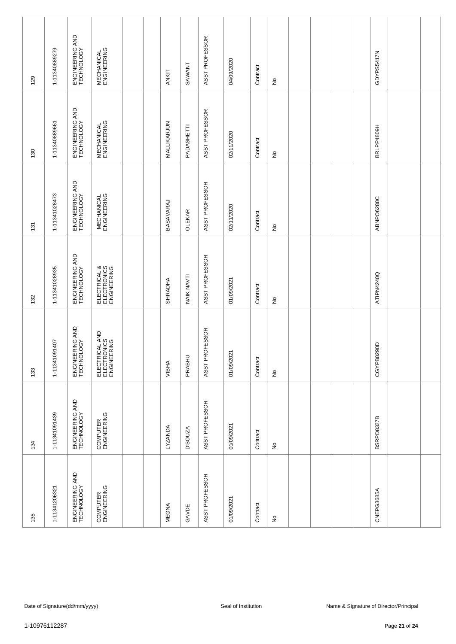| 129           | 1-11340889279 | ENGINEERING AND<br>TECHNOLOGY | <b>MECHANICAL</b><br>ENGINEERING             |  |  | ANKIT          | SAWANT         | ASST PROFESSOR | 04/09/2020          | Contract | $\frac{\circ}{\sim}$       |  |  | GDYPS5417N |                                        |  |
|---------------|---------------|-------------------------------|----------------------------------------------|--|--|----------------|----------------|----------------|---------------------|----------|----------------------------|--|--|------------|----------------------------------------|--|
| 130           | 1-11340889661 | ENGINEERING AND<br>TECHNOLOGY | <b>MECHANICAL</b><br>ENGINEERING             |  |  | MALLIKARJUN    | PADASHETTI     | ASST PROFESSOR | 02/11/2020          | Contract | $\stackrel{\mathtt{o}}{z}$ |  |  | BRLPP4809H |                                        |  |
| 131           | 1-11341028473 | ENGINEERING AND<br>TECHNOLOGY | <b>MECHANICAL</b><br>ENGINEERING             |  |  | BASAVARAJ      | <b>OLEKAR</b>  | ASST PROFESSOR | 02/11/2020          | Contract | $\stackrel{\mathtt{o}}{z}$ |  |  | ABNPO6280C |                                        |  |
| 132           | 1-11341028935 | ENGINEERING AND<br>TECHNOLOGY | ELECTRICAL &<br>ELECTRONICS<br>ENGINEERING   |  |  | <b>SHRADHA</b> | NAIK NAVTI     | ASST PROFESSOR | 01/09/2021          | Contract | ş                          |  |  | ATIPN4240Q |                                        |  |
| 133           | 1-11341091407 | ENGINEERING AND<br>TECHNOLOGY | ELECTRICAL AND<br>ELECTRONICS<br>ENGINEERING |  |  | VIBHA          | PRABHL         | ASST PROFESSOR | 01/09/2021          | Contract | $\stackrel{\mathtt{o}}{z}$ |  |  | CGYPB0290D |                                        |  |
| 134           | 1-11341091439 | ENGINEERING AND<br>TECHNOLOGY | COMPUTER<br>ENGINEERING                      |  |  | LYZANDA        | <b>D'SOUZA</b> | ASST PROFESSOR | 01/09/2021          | Contract | $\frac{\circ}{\sim}$       |  |  | BSRPD8327B |                                        |  |
| 135           | 1-11341206321 | ENGINEERING AND<br>TECHNOLOGY | COMPUTER<br>ENGINEERING                      |  |  | <b>MEGNA</b>   | GAVDE          | ASST PROFESSOR | 01/09/2021          | Contract | $\frac{\circ}{\sim}$       |  |  | CNEPG3685A |                                        |  |
|               |               |                               |                                              |  |  |                |                |                |                     |          |                            |  |  |            |                                        |  |
|               |               | Date of Signature(dd/mm/yyyy) |                                              |  |  |                |                |                | Seal of Institution |          |                            |  |  |            | Name & Signature of Director/Principal |  |
| 1-10976112287 |               |                               |                                              |  |  |                |                |                |                     |          |                            |  |  |            | Page 21 of 24                          |  |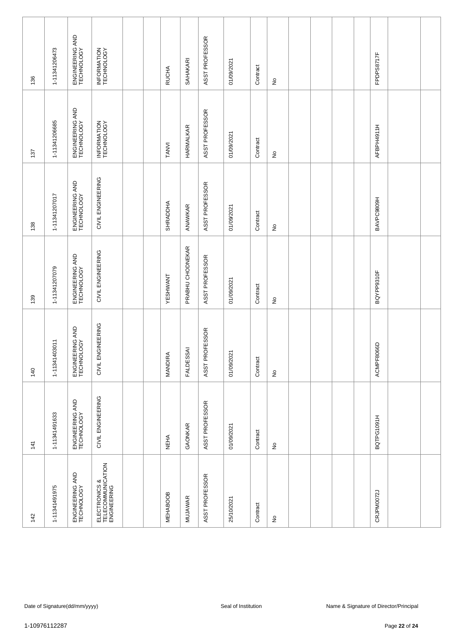| 136 | 1-11341206473                  | ENGINEERING AND<br>TECHNOLOGY | INFORMATION<br>TECHNOLOGY                         |  |  | <b>RUCHA</b>            | SAHAKARI         | ASST PROFESSOR                 | 01/09/2021          | Contract | $\frac{\circ}{\sim}$       |  |  | FPDPS8717F |                                        |  |
|-----|--------------------------------|-------------------------------|---------------------------------------------------|--|--|-------------------------|------------------|--------------------------------|---------------------|----------|----------------------------|--|--|------------|----------------------------------------|--|
| 137 | 1-11341206685                  | ENGINEERING AND<br>TECHNOLOGY | INFORMATION<br>TECHNOLOGY                         |  |  | TANVI                   | HARMALKAR        | ASST PROFESSOR                 | 01/09/2021          | Contract | $\stackrel{\mathtt{o}}{z}$ |  |  | AFBPH4911H |                                        |  |
| 138 | 1-11341207017                  | ENGINEERING AND<br>TECHNOLOGY | CIVIL ENGINEERING                                 |  |  | SHRADDHA                | ANAWKAR          | ASST PROFESSOR                 | 01/09/2021          | Contract | $\stackrel{\mathtt{o}}{z}$ |  |  | BAVPC9809H |                                        |  |
| 139 | 1-11341207079                  | ENGINEERING AND<br>TECHNOLOGY | CIVIL ENGINEERING                                 |  |  | YESHWANT                | PRABHU CHODNEKAR | ASST PROFESSOR                 | 01/09/2021          | Contract | $\frac{1}{2}$              |  |  | BQYPP9310F |                                        |  |
| 140 | 1-11341403011                  | ENGINEERING AND<br>TECHNOLOGY | CIVIL ENGINEERING                                 |  |  | $\leq$<br><b>MANDIR</b> | <b>FALDESSAI</b> | ROFESSOR<br>ASST <sub>PF</sub> | 01/09/2021          | Contract | $\stackrel{\mathtt{o}}{z}$ |  |  | ACMPF8066D |                                        |  |
| 141 | 1-11341491633                  | ENGINEERING AND<br>TECHNOLOGY | CIVIL ENGINEERING                                 |  |  | <b>NEHA</b>             | GAONKAR          | ASST PROFESSOR                 | 01/09/2021          | Contract | $\frac{\circ}{\sim}$       |  |  | BQTPG1091H |                                        |  |
| 142 | 1-11341491975                  | ENGINEERING AND<br>TECHNOLOGY | ELECTRONICS &<br>TELECOMMUNICATION<br>ENGINEERING |  |  | <b>MEHABOOB</b>         | <b>MUJAWAR</b>   | ASST PROFESSOR                 | 25/10/2021          | Contract | $\frac{\circ}{\sim}$       |  |  | CRJPM0072J |                                        |  |
|     |                                |                               |                                                   |  |  |                         |                  |                                |                     |          |                            |  |  |            |                                        |  |
|     |                                | Date of Signature(dd/mm/yyyy) |                                                   |  |  |                         |                  |                                | Seal of Institution |          |                            |  |  |            | Name & Signature of Director/Principal |  |
|     | 1-10976112287<br>Page 22 of 24 |                               |                                                   |  |  |                         |                  |                                |                     |          |                            |  |  |            |                                        |  |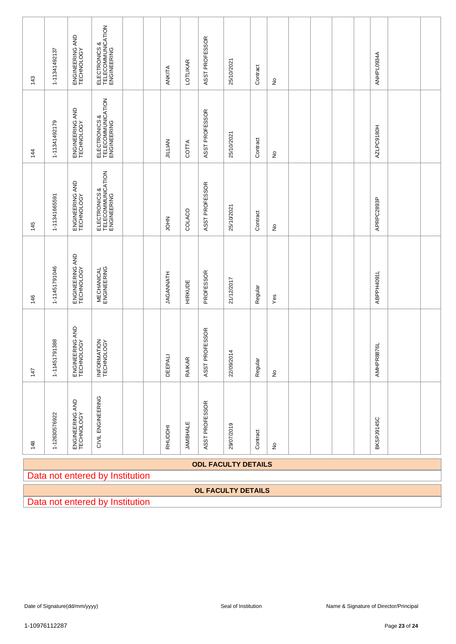|                | 1-11341492137                   | ENGINEERING AND<br>TECHNOLOGY | ELECTRONICS &<br>TELECOMMUNICATION<br>ENGINEERING |  |  |                  |                 | ASST PROFESSOR |                            |          |                            |  |               | ANHPL0934A |                                        |  |
|----------------|---------------------------------|-------------------------------|---------------------------------------------------|--|--|------------------|-----------------|----------------|----------------------------|----------|----------------------------|--|---------------|------------|----------------------------------------|--|
| 143            |                                 |                               |                                                   |  |  | ANKITA           | <b>LOTLIKAR</b> |                | 25/10/2021                 | Contract | $\frac{\circ}{\sim}$       |  |               |            |                                        |  |
| $\frac{14}{3}$ | 1-11341492179                   | ENGINEERING AND<br>TECHNOLOGY | ELECTRONICS &<br>TELECOMMUNICATION<br>ENGINEERING |  |  | <b>JILLIAN</b>   | COTTA           | ASST PROFESSOR | 25/10/2021                 | Contract | $\stackrel{\mathtt{o}}{z}$ |  |               | AZLPC9180H |                                        |  |
| 145            | 1-11341665591                   | ENGINEERING AND<br>TECHNOLOGY | ELECTRONICS &<br>TELECOMMUNICATION<br>ENGINEERING |  |  | HOL              | COLACO          | ASST PROFESSOR | 25/10/2021                 | Contract | $\stackrel{\mathtt{o}}{z}$ |  |               | APRPC2893P |                                        |  |
| 146            | 1-11451791046                   | ENGINEERING AND<br>TECHNOLOGY | <b>MECHANICAL</b><br>ENGINEERING                  |  |  | <b>JAGANNATH</b> | <b>HIRKUDE</b>  | PROFESSOR      | 21/12/2017                 | Regular  | Yes                        |  |               | ABPPH4091L |                                        |  |
| 147            | 791388<br>$1 - 114517$          | ENGINEERING AND<br>TECHNOLOGY | INFORMATION<br>TECHNOLOGY                         |  |  | <b>DEEPALI</b>   | RAIKAR          | ASST PROFESSOR | 22/09/2014                 | Regular  | $\stackrel{\mathtt{o}}{z}$ |  |               | AMHPR8876L |                                        |  |
| 148            | 1-12630576922                   | ENGINEERING AND<br>TECHNOLOGY | CIVIL ENGINEERING                                 |  |  | RHUDDHI          | <b>JAMBHALE</b> | ASST PROFESSOR | 29/07/2019                 | Contract | $\frac{\circ}{\sim}$       |  |               | BKSPJ9145C |                                        |  |
|                |                                 |                               | Data not entered by Institution                   |  |  |                  |                 |                | <b>ODL FACULTY DETAILS</b> |          |                            |  |               |            |                                        |  |
|                |                                 |                               |                                                   |  |  |                  |                 |                | <b>OL FACULTY DETAILS</b>  |          |                            |  |               |            |                                        |  |
|                | Data not entered by Institution |                               |                                                   |  |  |                  |                 |                |                            |          |                            |  |               |            |                                        |  |
|                |                                 |                               |                                                   |  |  |                  |                 |                |                            |          |                            |  |               |            |                                        |  |
|                |                                 |                               |                                                   |  |  |                  |                 |                |                            |          |                            |  |               |            |                                        |  |
|                |                                 |                               |                                                   |  |  |                  |                 |                |                            |          |                            |  |               |            |                                        |  |
|                |                                 | Date of Signature(dd/mm/yyyy) |                                                   |  |  |                  |                 |                | Seal of Institution        |          |                            |  |               |            | Name & Signature of Director/Principal |  |
| 1-10976112287  |                                 |                               |                                                   |  |  |                  |                 |                |                            |          |                            |  | Page 23 of 24 |            |                                        |  |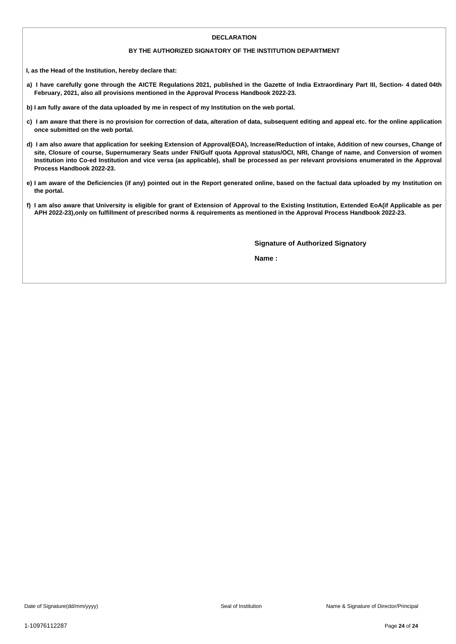### **DECLARATION**

### **BY THE AUTHORIZED SIGNATORY OF THE INSTITUTION DEPARTMENT**

**I, as the Head of the Institution, hereby declare that:**

- a) I have carefully gone through the AICTE Regulations 2021, published in the Gazette of India Extraordinary Part III, Section- 4 dated 04th **February, 2021, also all provisions mentioned in the Approval Process Handbook 2022-23.**
- b) I am fully aware of the data uploaded by me in respect of my Institution on the web portal.
- c) I am aware that there is no provision for correction of data, alteration of data, subsequent editing and appeal etc. for the online application **once submitted on the web portal.**
- d) I am also aware that application for seeking Extension of Approval(EOA), Increase/Reduction of intake, Addition of new courses, Change of site, Closure of course, Supernumerary Seats under FN/Gulf quota Approval status/OCI, NRI, Change of name, and Conversion of women Institution into Co-ed Institution and vice versa (as applicable), shall be processed as per relevant provisions enumerated in the Approval **Process Handbook 2022-23.**
- e) I am aware of the Deficiencies (if any) pointed out in the Report generated online, based on the factual data uploaded by my Institution on **the portal.**
- f) I am also aware that University is eligible for grant of Extension of Approval to the Existing Institution, Extended EoA(if Applicable as per APH 2022-23), only on fulfillment of prescribed norms & requirements as mentioned in the Approval Process Handbook 2022-23.

**Signature of Authorized Signatory**

**Name :**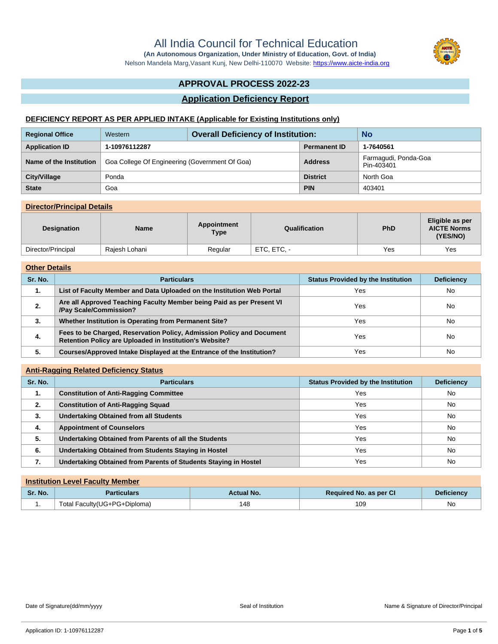Nelson Mandela Marg,Vasant Kunj, New Delhi-110070 Website:<https://www.aicte-india.org>

# **APPROVAL PROCESS 2022-23**

## **Application Deficiency Report**

## **DEFICIENCY REPORT AS PER APPLIED INTAKE (Applicable for Existing Institutions only)**

| <b>Regional Office</b>  | <b>Overall Deficiency of Institution:</b><br>Western |  |                     | <b>No</b>                          |
|-------------------------|------------------------------------------------------|--|---------------------|------------------------------------|
| <b>Application ID</b>   | 1-10976112287                                        |  | <b>Permanent ID</b> | 1-7640561                          |
| Name of the Institution | Goa College Of Engineering (Government Of Goa)       |  | <b>Address</b>      | Farmagudi, Ponda-Goa<br>Pin-403401 |
| City/Village            | Ponda                                                |  | <b>District</b>     | North Goa                          |
| <b>State</b>            | Goa                                                  |  | <b>PIN</b>          | 403401                             |

## **Director/Principal Details**

| <b>Designation</b> | <b>Name</b>   | Appointment<br><b>Type</b> | Qualification | <b>PhD</b> | Eligible as per<br><b>AICTE Norms</b><br>(YES/NO) |
|--------------------|---------------|----------------------------|---------------|------------|---------------------------------------------------|
| Director/Principal | Raiesh Lohani | Regular                    | ETC, ETC, -   | Yes        | Yes                                               |

#### **Other Details**

| Sr. No. | <b>Particulars</b>                                                                                                               | <b>Status Provided by the Institution</b> | <b>Deficiency</b> |
|---------|----------------------------------------------------------------------------------------------------------------------------------|-------------------------------------------|-------------------|
| 1.      | List of Faculty Member and Data Uploaded on the Institution Web Portal                                                           | Yes                                       | <b>No</b>         |
| 2.      | Are all Approved Teaching Faculty Member being Paid as per Present VI<br>/Pay Scale/Commission?                                  | Yes                                       | <b>No</b>         |
| 3.      | Whether Institution is Operating from Permanent Site?                                                                            | Yes                                       | No                |
| 4.      | Fees to be Charged, Reservation Policy, Admission Policy and Document<br>Retention Policy are Uploaded in Institution's Website? | Yes                                       | <b>No</b>         |
| 5.      | Courses/Approved Intake Displayed at the Entrance of the Institution?                                                            | Yes                                       | No                |

### **Anti-Ragging Related Deficiency Status**

| Sr. No. | <b>Particulars</b>                                              | <b>Status Provided by the Institution</b> | <b>Deficiency</b> |  |  |  |
|---------|-----------------------------------------------------------------|-------------------------------------------|-------------------|--|--|--|
| 1.      | <b>Constitution of Anti-Ragging Committee</b>                   | Yes                                       | <b>No</b>         |  |  |  |
| 2.      | <b>Constitution of Anti-Ragging Squad</b>                       | Yes                                       | <b>No</b>         |  |  |  |
| 3.      | <b>Undertaking Obtained from all Students</b>                   | Yes                                       | <b>No</b>         |  |  |  |
| 4.      | <b>Appointment of Counselors</b>                                | Yes                                       | <b>No</b>         |  |  |  |
| 5.      | Undertaking Obtained from Parents of all the Students           | Yes                                       | <b>No</b>         |  |  |  |
| 6.      | Undertaking Obtained from Students Staying in Hostel            | Yes                                       | <b>No</b>         |  |  |  |
| 7.      | Undertaking Obtained from Parents of Students Staying in Hostel | Yes                                       | No                |  |  |  |

|         | <b>Institution Level Faculty Member</b> |                   |                               |                   |  |  |  |  |  |
|---------|-----------------------------------------|-------------------|-------------------------------|-------------------|--|--|--|--|--|
| Sr. No. | <b>Particulars</b>                      | <b>Actual No.</b> | <b>Required No. as per CI</b> | <b>Deficiency</b> |  |  |  |  |  |
| . .     | Total Faculty(UG+PG+Diploma)            | 148               | 109                           | No                |  |  |  |  |  |



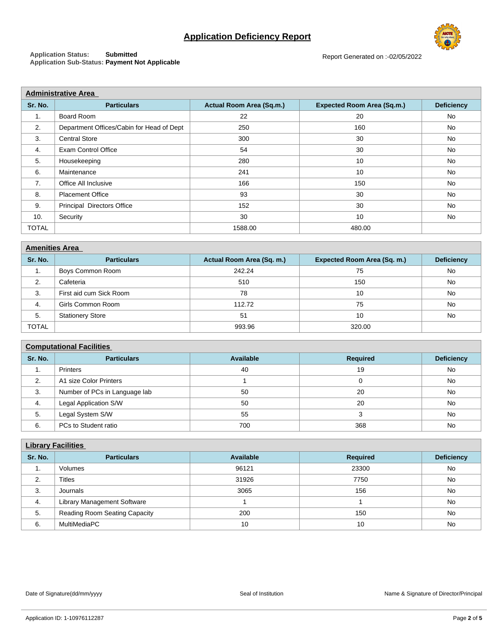# **Application Deficiency Report**

**Application Status: Submitted Application Sub-Status: Payment Not Applicable**

|              | <b>Administrative Area</b>                |                          |                                   |                   |  |  |  |  |
|--------------|-------------------------------------------|--------------------------|-----------------------------------|-------------------|--|--|--|--|
| Sr. No.      | <b>Particulars</b>                        | Actual Room Area (Sq.m.) | <b>Expected Room Area (Sq.m.)</b> | <b>Deficiency</b> |  |  |  |  |
| 1.           | Board Room                                | 22                       | 20                                | No                |  |  |  |  |
| 2.           | Department Offices/Cabin for Head of Dept | 250                      | 160                               | No                |  |  |  |  |
| 3.           | <b>Central Store</b>                      | 300                      | 30                                | <b>No</b>         |  |  |  |  |
| 4.           | <b>Exam Control Office</b>                | 54                       | 30                                | No                |  |  |  |  |
| 5.           | Housekeeping                              | 280                      | 10                                | No                |  |  |  |  |
| 6.           | Maintenance                               | 241                      | 10                                | No                |  |  |  |  |
| 7.           | Office All Inclusive                      | 166                      | 150                               | <b>No</b>         |  |  |  |  |
| 8.           | <b>Placement Office</b>                   | 93                       | 30                                | <b>No</b>         |  |  |  |  |
| 9.           | Principal Directors Office                | 152                      | 30                                | No                |  |  |  |  |
| 10.          | Security                                  | 30                       | 10                                | No                |  |  |  |  |
| <b>TOTAL</b> |                                           | 1588.00                  | 480.00                            |                   |  |  |  |  |

| <b>Amenities Area</b> |                         |                           |                             |                   |  |  |  |
|-----------------------|-------------------------|---------------------------|-----------------------------|-------------------|--|--|--|
| Sr. No.               | <b>Particulars</b>      | Actual Room Area (Sq. m.) | Expected Room Area (Sq. m.) | <b>Deficiency</b> |  |  |  |
| .                     | Boys Common Room        | 242.24                    | 75                          | No                |  |  |  |
| 2.                    | Cafeteria               | 510                       | 150                         | No                |  |  |  |
| 3.                    | First aid cum Sick Room | 78                        | 10                          | No                |  |  |  |
| 4.                    | Girls Common Room       | 112.72                    | 75                          | No                |  |  |  |
| 5.                    | <b>Stationery Store</b> | 51                        | 10                          | No                |  |  |  |
| <b>TOTAL</b>          |                         | 993.96                    | 320.00                      |                   |  |  |  |

### **Computational Facilities**

| Sr. No. | <b>Particulars</b>            | Available | <b>Required</b> | <b>Deficiency</b> |
|---------|-------------------------------|-----------|-----------------|-------------------|
| . .     | Printers                      | 40        | 19              | No                |
| 2.      | A1 size Color Printers        |           |                 | No                |
| 3.      | Number of PCs in Language lab | 50        | 20              | <b>No</b>         |
| 4.      | <b>Legal Application S/W</b>  | 50        | 20              | <b>No</b>         |
| 5.      | Legal System S/W              | 55        |                 | No                |
| 6.      | PCs to Student ratio          | 700       | 368             | No                |

|         | <b>Library Facilities</b>            |                  |                 |                   |  |  |  |  |  |
|---------|--------------------------------------|------------------|-----------------|-------------------|--|--|--|--|--|
| Sr. No. | <b>Particulars</b>                   | <b>Available</b> | <b>Required</b> | <b>Deficiency</b> |  |  |  |  |  |
| т.      | Volumes                              | 96121            | 23300           | No                |  |  |  |  |  |
| 2.      | Titles                               | 31926            | 7750            | <b>No</b>         |  |  |  |  |  |
| 3.      | Journals                             | 3065             | 156             | No                |  |  |  |  |  |
| 4.      | Library Management Software          |                  |                 | <b>No</b>         |  |  |  |  |  |
| 5.      | <b>Reading Room Seating Capacity</b> | 200              | 150             | No                |  |  |  |  |  |
| 6.      | MultiMediaPC                         | 10               | 10              | <b>No</b>         |  |  |  |  |  |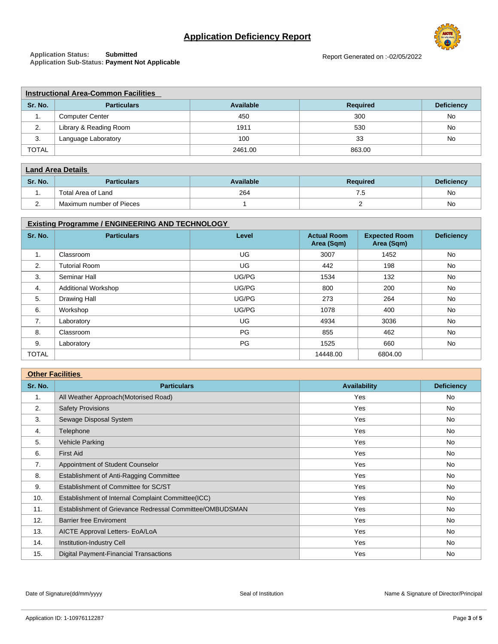# **Application Deficiency Report**



**Application Status: Submitted Application Sub-Status: Payment Not Applicable**

|              | <b>Instructional Area-Common Facilities</b> |           |                 |                   |  |  |  |  |  |
|--------------|---------------------------------------------|-----------|-----------------|-------------------|--|--|--|--|--|
| Sr. No.      | <b>Particulars</b>                          | Available | <b>Required</b> | <b>Deficiency</b> |  |  |  |  |  |
| . .          | <b>Computer Center</b>                      | 450       | 300             | No                |  |  |  |  |  |
| 2.           | Library & Reading Room                      | 1911      | 530             | No                |  |  |  |  |  |
| 3.           | Language Laboratory                         | 100       | 33              | No                |  |  |  |  |  |
| <b>TOTAL</b> |                                             | 2461.00   | 863.00          |                   |  |  |  |  |  |

| <b>Land Area Details</b> |                          |           |                 |                   |
|--------------------------|--------------------------|-----------|-----------------|-------------------|
| Sr. No.                  | <b>Particulars</b>       | Available | <b>Required</b> | <b>Deficiency</b> |
| . .                      | Total Area of Land       | 264       | 6. I            | No                |
|                          | Maximum number of Pieces |           |                 | No                |

## **Existing Programme / ENGINEERING AND TECHNOLOGY**

| Sr. No.      | <b>Particulars</b>         | Level | <b>Actual Room</b><br>Area (Sqm) | <b>Expected Room</b><br>Area (Sqm) | <b>Deficiency</b> |
|--------------|----------------------------|-------|----------------------------------|------------------------------------|-------------------|
| 1.           | Classroom                  | UG    | 3007                             | 1452                               | <b>No</b>         |
| 2.           | <b>Tutorial Room</b>       | UG    | 442                              | 198                                | <b>No</b>         |
| 3.           | Seminar Hall               | UG/PG | 1534                             | 132                                | No                |
| 4.           | <b>Additional Workshop</b> | UG/PG | 800                              | 200                                | <b>No</b>         |
| 5.           | <b>Drawing Hall</b>        | UG/PG | 273                              | 264                                | <b>No</b>         |
| 6.           | Workshop                   | UG/PG | 1078                             | 400                                | No                |
| 7.           | Laboratory                 | UG    | 4934                             | 3036                               | <b>No</b>         |
| 8.           | Classroom                  | PG    | 855                              | 462                                | <b>No</b>         |
| 9.           | Laboratory                 | PG    | 1525                             | 660                                | <b>No</b>         |
| <b>TOTAL</b> |                            |       | 14448.00                         | 6804.00                            |                   |

| <b>Other Facilities</b> |                                                          |                     |                   |  |
|-------------------------|----------------------------------------------------------|---------------------|-------------------|--|
| Sr. No.                 | <b>Particulars</b>                                       | <b>Availability</b> | <b>Deficiency</b> |  |
| 1.                      | All Weather Approach (Motorised Road)                    | Yes                 | No                |  |
| 2.                      | <b>Safety Provisions</b>                                 | Yes                 | No                |  |
| 3.                      | Sewage Disposal System                                   | Yes                 | No                |  |
| 4.                      | Telephone                                                | Yes                 | <b>No</b>         |  |
| 5.                      | Vehicle Parking                                          | Yes                 | No                |  |
| 6.                      | <b>First Aid</b>                                         | Yes                 | No                |  |
| 7.                      | Appointment of Student Counselor                         | Yes                 | No                |  |
| 8.                      | Establishment of Anti-Ragging Committee                  | Yes                 | No                |  |
| 9.                      | Establishment of Committee for SC/ST                     | Yes                 | No                |  |
| 10.                     | Establishment of Internal Complaint Committee(ICC)       | Yes                 | No                |  |
| 11.                     | Establishment of Grievance Redressal Committee/OMBUDSMAN | Yes                 | No                |  |
| 12.                     | <b>Barrier free Enviroment</b>                           | Yes                 | No                |  |
| 13.                     | AICTE Approval Letters- EoA/LoA                          | Yes                 | No                |  |
| 14.                     | Institution-Industry Cell                                | Yes                 | No                |  |
| 15.                     | <b>Digital Payment-Financial Transactions</b>            | Yes                 | No                |  |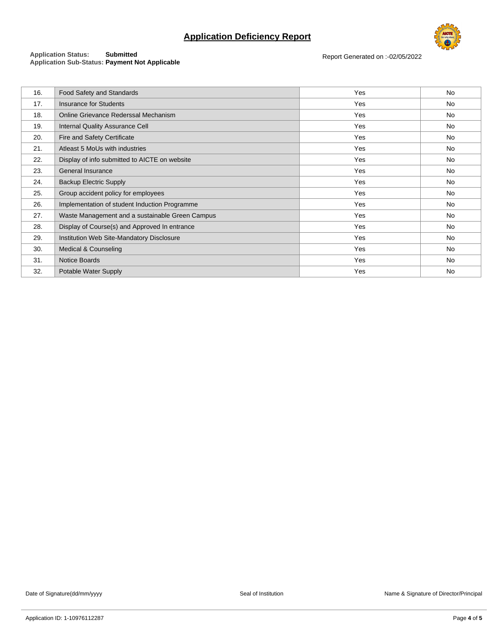# **Application Deficiency Report**



### **Application Status: Submitted Application Sub-Status: Payment Not Applicable**

Report Generated on :-02/05/2022

| 16. | <b>Food Safety and Standards</b>                | Yes | No |
|-----|-------------------------------------------------|-----|----|
| 17. | <b>Insurance for Students</b>                   | Yes | No |
| 18. | Online Grievance Rederssal Mechanism            | Yes | No |
| 19. | <b>Internal Quality Assurance Cell</b>          | Yes | No |
| 20. | Fire and Safety Certificate                     | Yes | No |
| 21. | Atleast 5 MoUs with industries                  | Yes | No |
| 22. | Display of info submitted to AICTE on website   | Yes | No |
| 23. | General Insurance                               | Yes | No |
| 24. | <b>Backup Electric Supply</b>                   | Yes | No |
| 25. | Group accident policy for employees             | Yes | No |
| 26. | Implementation of student Induction Programme   | Yes | No |
| 27. | Waste Management and a sustainable Green Campus | Yes | No |
| 28. | Display of Course(s) and Approved In entrance   | Yes | No |
| 29. | Institution Web Site-Mandatory Disclosure       | Yes | No |
| 30. | Medical & Counseling                            | Yes | No |
| 31. | Notice Boards                                   | Yes | No |
| 32. | Potable Water Supply                            | Yes | No |